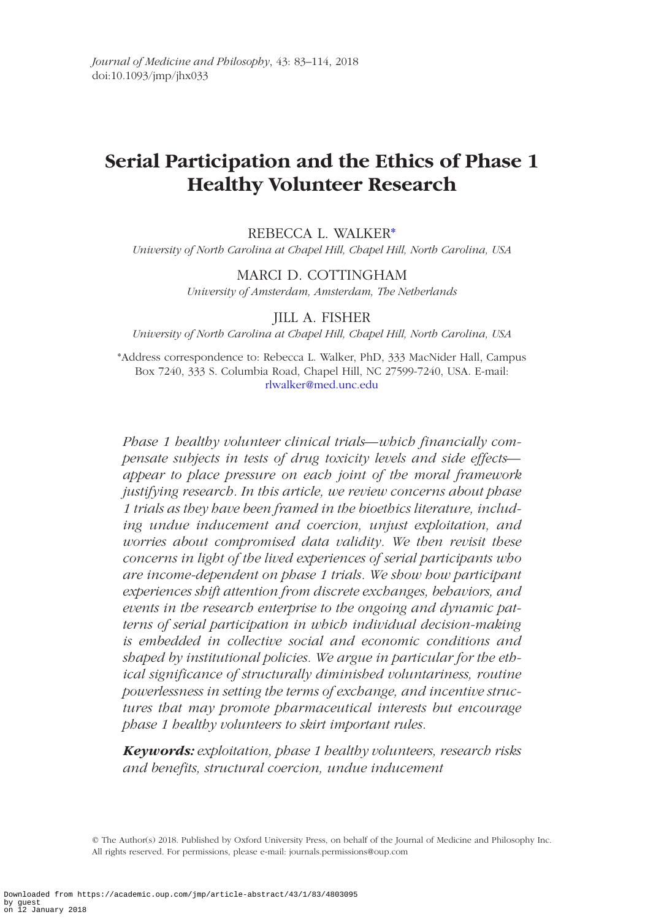# **Serial Participation and the Ethics of Phase 1 Healthy Volunteer Research**

# REBECCA L. WALKER[\\*](#page-0-0)

*University of North Carolina at Chapel Hill, Chapel Hill, North Carolina, USA*

## MARCI D. COTTINGHAM

*University of Amsterdam, Amsterdam, The Netherlands*

# JILL A. FISHER

<span id="page-0-0"></span>*University of North Carolina at Chapel Hill, Chapel Hill, North Carolina, USA*

\*Address correspondence to: Rebecca L. Walker, PhD, 333 MacNider Hall, Campus Box 7240, 333 S. Columbia Road, Chapel Hill, NC 27599-7240, USA. E-mail: [rlwalker@med.unc.edu](mailto:rlwalker@med.unc.edu?subject=)

*Phase 1 healthy volunteer clinical trials—which financially compensate subjects in tests of drug toxicity levels and side effects appear to place pressure on each joint of the moral framework justifying research. In this article, we review concerns about phase 1 trials as they have been framed in the bioethics literature, including undue inducement and coercion, unjust exploitation, and worries about compromised data validity. We then revisit these concerns in light of the lived experiences of serial participants who are income-dependent on phase 1 trials. We show how participant experiences shift attention from discrete exchanges, behaviors, and events in the research enterprise to the ongoing and dynamic patterns of serial participation in which individual decision-making is embedded in collective social and economic conditions and shaped by institutional policies. We argue in particular for the ethical significance of structurally diminished voluntariness, routine powerlessness in setting the terms of exchange, and incentive structures that may promote pharmaceutical interests but encourage phase 1 healthy volunteers to skirt important rules.*

*Keywords: exploitation, phase 1 healthy volunteers, research risks and benefits, structural coercion, undue inducement*

© The Author(s) 2018. Published by Oxford University Press, on behalf of the Journal of Medicine and Philosophy Inc. All rights reserved. For permissions, please e-mail: journals.permissions@oup.com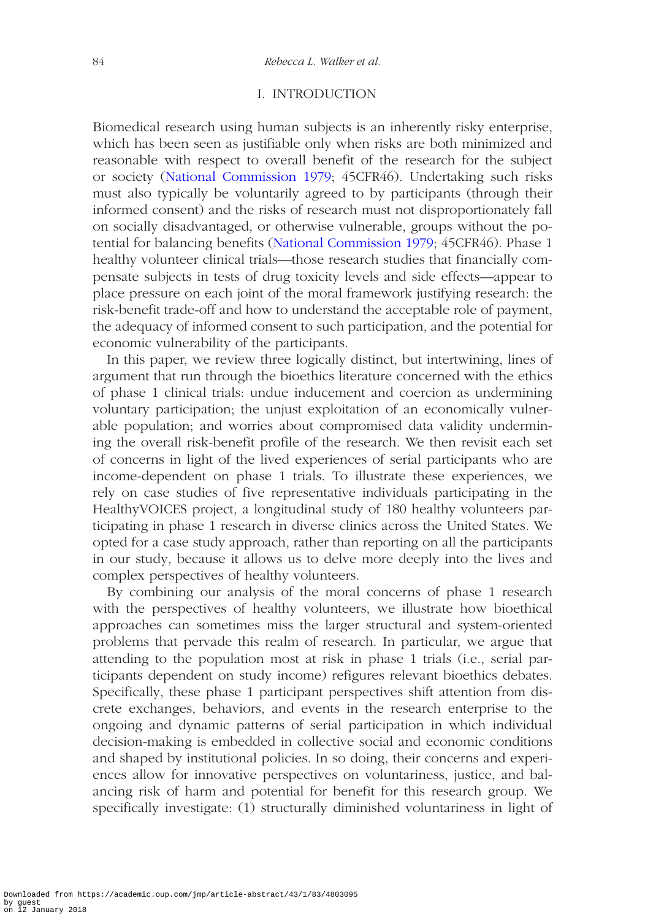## I. INTRODUCTION

Biomedical research using human subjects is an inherently risky enterprise, which has been seen as justifiable only when risks are both minimized and reasonable with respect to overall benefit of the research for the subject or society ([National Commission 1979](#page-30-0); 45CFR46). Undertaking such risks must also typically be voluntarily agreed to by participants (through their informed consent) and the risks of research must not disproportionately fall on socially disadvantaged, or otherwise vulnerable, groups without the potential for balancing benefits ([National Commission 1979](#page-30-0); 45CFR46). Phase 1 healthy volunteer clinical trials—those research studies that financially compensate subjects in tests of drug toxicity levels and side effects—appear to place pressure on each joint of the moral framework justifying research: the risk-benefit trade-off and how to understand the acceptable role of payment, the adequacy of informed consent to such participation, and the potential for economic vulnerability of the participants.

In this paper, we review three logically distinct, but intertwining, lines of argument that run through the bioethics literature concerned with the ethics of phase 1 clinical trials: undue inducement and coercion as undermining voluntary participation; the unjust exploitation of an economically vulnerable population; and worries about compromised data validity undermining the overall risk-benefit profile of the research. We then revisit each set of concerns in light of the lived experiences of serial participants who are income-dependent on phase 1 trials. To illustrate these experiences, we rely on case studies of five representative individuals participating in the HealthyVOICES project, a longitudinal study of 180 healthy volunteers participating in phase 1 research in diverse clinics across the United States. We opted for a case study approach, rather than reporting on all the participants in our study, because it allows us to delve more deeply into the lives and complex perspectives of healthy volunteers.

By combining our analysis of the moral concerns of phase 1 research with the perspectives of healthy volunteers, we illustrate how bioethical approaches can sometimes miss the larger structural and system-oriented problems that pervade this realm of research. In particular, we argue that attending to the population most at risk in phase 1 trials (i.e., serial participants dependent on study income) refigures relevant bioethics debates. Specifically, these phase 1 participant perspectives shift attention from discrete exchanges, behaviors, and events in the research enterprise to the ongoing and dynamic patterns of serial participation in which individual decision-making is embedded in collective social and economic conditions and shaped by institutional policies. In so doing, their concerns and experiences allow for innovative perspectives on voluntariness, justice, and balancing risk of harm and potential for benefit for this research group. We specifically investigate: (1) structurally diminished voluntariness in light of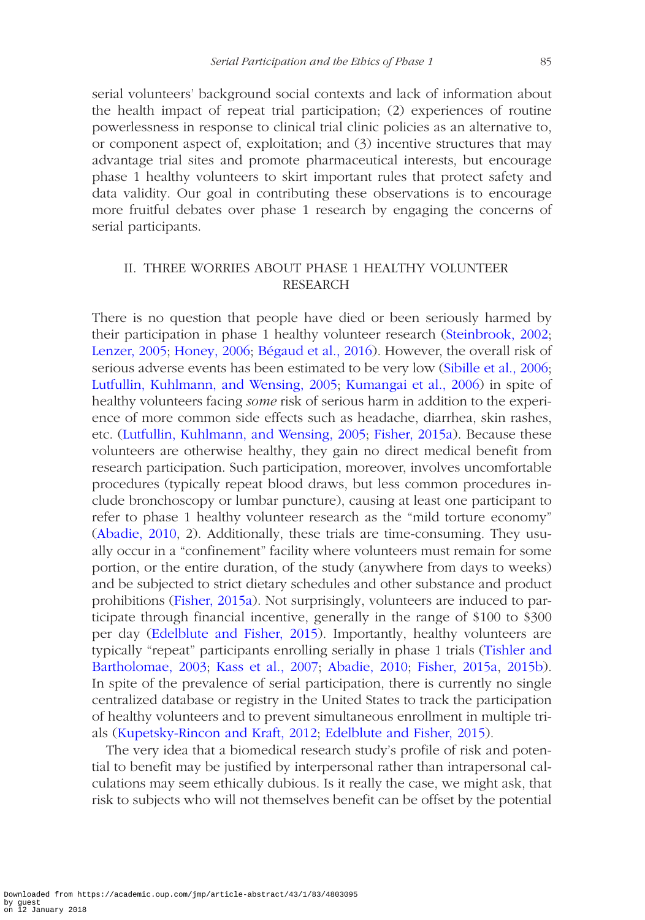serial volunteers' background social contexts and lack of information about the health impact of repeat trial participation; (2) experiences of routine powerlessness in response to clinical trial clinic policies as an alternative to, or component aspect of, exploitation; and (3) incentive structures that may advantage trial sites and promote pharmaceutical interests, but encourage phase 1 healthy volunteers to skirt important rules that protect safety and data validity. Our goal in contributing these observations is to encourage more fruitful debates over phase 1 research by engaging the concerns of serial participants.

# II. THREE WORRIES ABOUT PHASE 1 HEALTHY VOLUNTEER RESEARCH

There is no question that people have died or been seriously harmed by their participation in phase 1 healthy volunteer research [\(Steinbrook, 2002](#page-31-0); [Lenzer, 2005;](#page-30-1) [Honey, 2006;](#page-30-2) [Bégaud et al., 2016](#page-29-0)). However, the overall risk of serious adverse events has been estimated to be very low ([Sibille et al., 2006](#page-31-1); [Lutfullin, Kuhlmann, and Wensing, 2005](#page-30-3); [Kumangai et al., 2006](#page-30-4)) in spite of healthy volunteers facing *some* risk of serious harm in addition to the experience of more common side effects such as headache, diarrhea, skin rashes, etc. [\(Lutfullin, Kuhlmann, and Wensing, 2005](#page-30-3); [Fisher, 2015a](#page-29-1)). Because these volunteers are otherwise healthy, they gain no direct medical benefit from research participation. Such participation, moreover, involves uncomfortable procedures (typically repeat blood draws, but less common procedures include bronchoscopy or lumbar puncture), causing at least one participant to refer to phase 1 healthy volunteer research as the "mild torture economy" ([Abadie, 2010](#page-28-0), 2). Additionally, these trials are time-consuming. They usually occur in a "confinement" facility where volunteers must remain for some portion, or the entire duration, of the study (anywhere from days to weeks) and be subjected to strict dietary schedules and other substance and product prohibitions [\(Fisher, 2015a\)](#page-29-1). Not surprisingly, volunteers are induced to participate through financial incentive, generally in the range of \$100 to \$300 per day ([Edelblute and Fisher, 2015\)](#page-29-2). Importantly, healthy volunteers are typically "repeat" participants enrolling serially in phase 1 trials ([Tishler and](#page-31-2)  [Bartholomae, 2003;](#page-31-2) [Kass et al., 2007](#page-30-5); [Abadie, 2010](#page-28-0); [Fisher, 2015a](#page-29-1), [2015b](#page-29-3)). In spite of the prevalence of serial participation, there is currently no single centralized database or registry in the United States to track the participation of healthy volunteers and to prevent simultaneous enrollment in multiple trials [\(Kupetsky-Rincon and Kraft, 2012](#page-30-6); [Edelblute and Fisher, 2015\)](#page-29-2).

The very idea that a biomedical research study's profile of risk and potential to benefit may be justified by interpersonal rather than intrapersonal calculations may seem ethically dubious. Is it really the case, we might ask, that risk to subjects who will not themselves benefit can be offset by the potential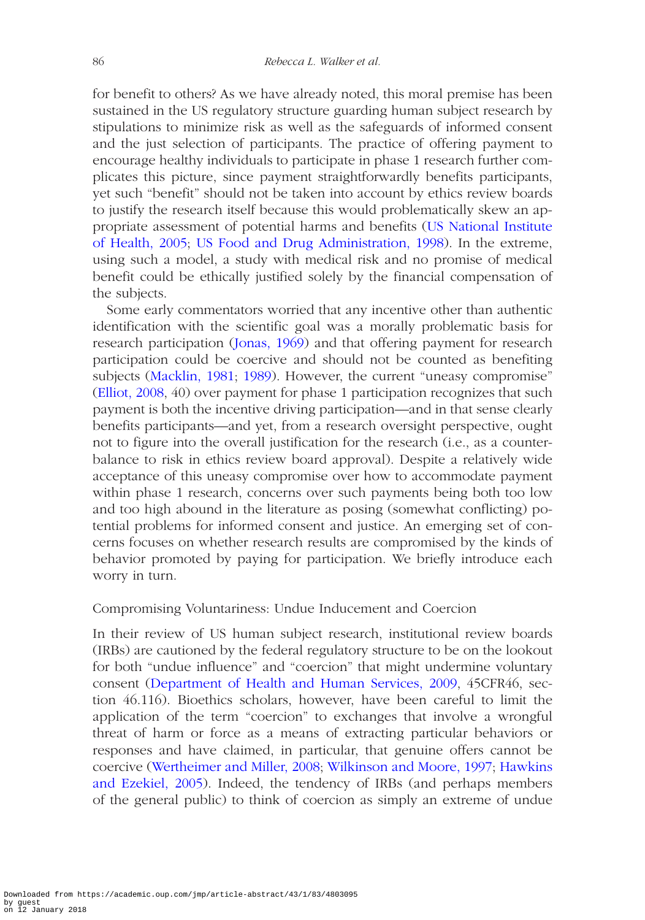for benefit to others? As we have already noted, this moral premise has been sustained in the US regulatory structure guarding human subject research by stipulations to minimize risk as well as the safeguards of informed consent and the just selection of participants. The practice of offering payment to encourage healthy individuals to participate in phase 1 research further complicates this picture, since payment straightforwardly benefits participants, yet such "benefit" should not be taken into account by ethics review boards to justify the research itself because this would problematically skew an appropriate assessment of potential harms and benefits [\(US National Institute](#page-30-7)  [of Health, 2005;](#page-30-7) [US Food and Drug Administration, 1998](#page-31-3)). In the extreme, using such a model, a study with medical risk and no promise of medical benefit could be ethically justified solely by the financial compensation of the subjects.

Some early commentators worried that any incentive other than authentic identification with the scientific goal was a morally problematic basis for research participation [\(Jonas, 1969\)](#page-30-8) and that offering payment for research participation could be coercive and should not be counted as benefiting subjects ([Macklin, 1981;](#page-30-9) [1989](#page-30-10)). However, the current "uneasy compromise" ([Elliot, 2008](#page-29-4), 40) over payment for phase 1 participation recognizes that such payment is both the incentive driving participation—and in that sense clearly benefits participants—and yet, from a research oversight perspective, ought not to figure into the overall justification for the research (i.e., as a counterbalance to risk in ethics review board approval). Despite a relatively wide acceptance of this uneasy compromise over how to accommodate payment within phase 1 research, concerns over such payments being both too low and too high abound in the literature as posing (somewhat conflicting) potential problems for informed consent and justice. An emerging set of concerns focuses on whether research results are compromised by the kinds of behavior promoted by paying for participation. We briefly introduce each worry in turn.

## Compromising Voluntariness: Undue Inducement and Coercion

In their review of US human subject research, institutional review boards (IRBs) are cautioned by the federal regulatory structure to be on the lookout for both "undue influence" and "coercion" that might undermine voluntary consent ([Department of Health and Human Services, 2009,](#page-29-5) 45CFR46, section 46.116). Bioethics scholars, however, have been careful to limit the application of the term "coercion" to exchanges that involve a wrongful threat of harm or force as a means of extracting particular behaviors or responses and have claimed, in particular, that genuine offers cannot be coercive ([Wertheimer and Miller, 2008](#page-31-4); [Wilkinson and Moore, 1997](#page-31-5); [Hawkins](#page-30-11)  [and Ezekiel, 2005\)](#page-30-11). Indeed, the tendency of IRBs (and perhaps members of the general public) to think of coercion as simply an extreme of undue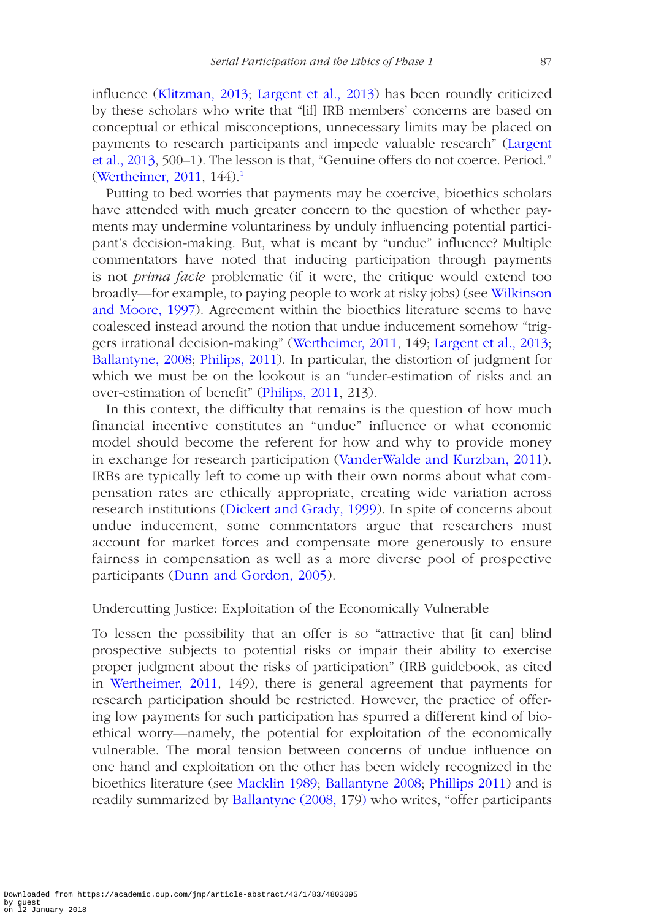influence ([Klitzman, 2013](#page-30-12); [Largent et al., 2013](#page-30-13)) has been roundly criticized by these scholars who write that "[if] IRB members' concerns are based on conceptual or ethical misconceptions, unnecessary limits may be placed on payments to research participants and impede valuable research" [\(Largent](#page-30-13) [et al., 2013](#page-30-13), 500–1). The lesson is that, "Genuine offers do not coerce. Period." ([Wertheimer, 2011](#page-31-6), 144).[1](#page-27-0)

Putting to bed worries that payments may be coercive, bioethics scholars have attended with much greater concern to the question of whether payments may undermine voluntariness by unduly influencing potential participant's decision-making. But, what is meant by "undue" influence? Multiple commentators have noted that inducing participation through payments is not *prima facie* problematic (if it were, the critique would extend too broadly—for example, to paying people to work at risky jobs) (see [Wilkinson](#page-31-5)  [and Moore, 1997\)](#page-31-5). Agreement within the bioethics literature seems to have coalesced instead around the notion that undue inducement somehow "triggers irrational decision-making" [\(Wertheimer, 2011](#page-31-6), 149; [Largent et al., 2013](#page-30-13); [Ballantyne, 2008](#page-28-1); [Philips, 2011\)](#page-30-14). In particular, the distortion of judgment for which we must be on the lookout is an "under-estimation of risks and an over-estimation of benefit" [\(Philips, 2011](#page-30-14), 213).

In this context, the difficulty that remains is the question of how much financial incentive constitutes an "undue" influence or what economic model should become the referent for how and why to provide money in exchange for research participation ([VanderWalde and Kurzban, 2011\)](#page-31-7). IRBs are typically left to come up with their own norms about what compensation rates are ethically appropriate, creating wide variation across research institutions [\(Dickert and Grady, 1999\)](#page-29-6). In spite of concerns about undue inducement, some commentators argue that researchers must account for market forces and compensate more generously to ensure fairness in compensation as well as a more diverse pool of prospective participants [\(Dunn and Gordon, 2005\)](#page-29-7).

# Undercutting Justice: Exploitation of the Economically Vulnerable

To lessen the possibility that an offer is so "attractive that [it can] blind prospective subjects to potential risks or impair their ability to exercise proper judgment about the risks of participation" (IRB guidebook, as cited in [Wertheimer, 2011](#page-31-6), 149), there is general agreement that payments for research participation should be restricted. However, the practice of offering low payments for such participation has spurred a different kind of bioethical worry—namely, the potential for exploitation of the economically vulnerable. The moral tension between concerns of undue influence on one hand and exploitation on the other has been widely recognized in the bioethics literature (see [Macklin 1989](#page-30-10); [Ballantyne 2008;](#page-28-1) [Phillips 2011](#page-30-14)) and is readily summarized by [Ballantyne \(2008, 1](#page-28-1)79) who writes, "offer participants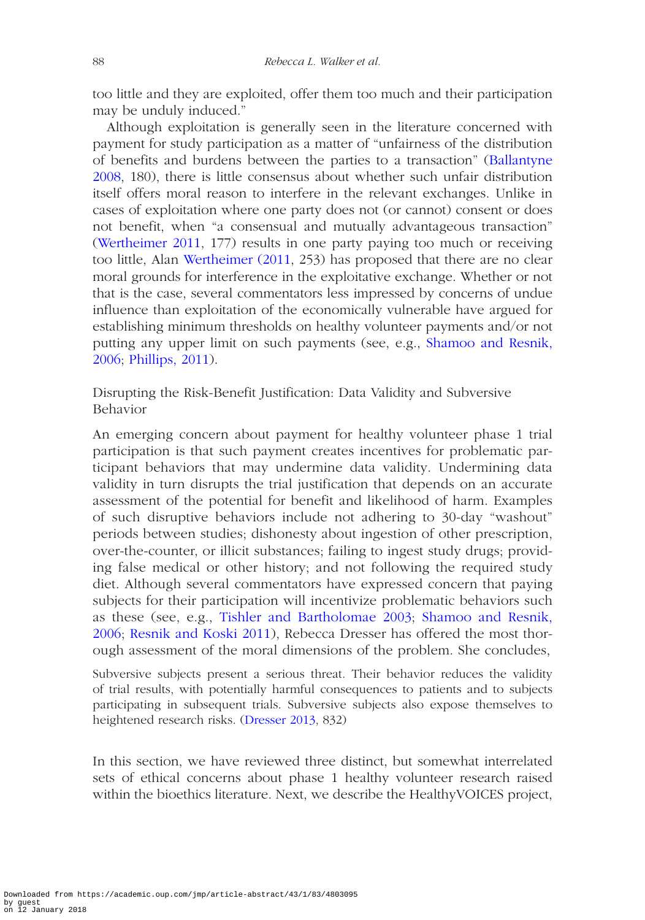too little and they are exploited, offer them too much and their participation may be unduly induced."

Although exploitation is generally seen in the literature concerned with payment for study participation as a matter of "unfairness of the distribution of benefits and burdens between the parties to a transaction" ([Ballantyne](#page-28-1)  [2008,](#page-28-1) 180), there is little consensus about whether such unfair distribution itself offers moral reason to interfere in the relevant exchanges. Unlike in cases of exploitation where one party does not (or cannot) consent or does not benefit, when "a consensual and mutually advantageous transaction" ([Wertheimer 2011](#page-31-6), 177) results in one party paying too much or receiving too little, Alan [Wertheimer \(2011,](#page-30-7) 253) has proposed that there are no clear moral grounds for interference in the exploitative exchange. Whether or not that is the case, several commentators less impressed by concerns of undue influence than exploitation of the economically vulnerable have argued for establishing minimum thresholds on healthy volunteer payments and/or not putting any upper limit on such payments (see, e.g., [Shamoo and Resnik,](#page-31-8)  [2006;](#page-31-8) [Phillips, 2011\)](#page-30-14).

Disrupting the Risk-Benefit Justification: Data Validity and Subversive Behavior

An emerging concern about payment for healthy volunteer phase 1 trial participation is that such payment creates incentives for problematic participant behaviors that may undermine data validity. Undermining data validity in turn disrupts the trial justification that depends on an accurate assessment of the potential for benefit and likelihood of harm. Examples of such disruptive behaviors include not adhering to 30-day "washout" periods between studies; dishonesty about ingestion of other prescription, over-the-counter, or illicit substances; failing to ingest study drugs; providing false medical or other history; and not following the required study diet. Although several commentators have expressed concern that paying subjects for their participation will incentivize problematic behaviors such as these (see, e.g., [Tishler and Bartholomae 2003](#page-31-2); [Shamoo and Resnik,](#page-31-8)  [2006](#page-31-8); [Resnik and Koski 2011](#page-31-9)), Rebecca Dresser has offered the most thorough assessment of the moral dimensions of the problem. She concludes,

Subversive subjects present a serious threat. Their behavior reduces the validity of trial results, with potentially harmful consequences to patients and to subjects participating in subsequent trials. Subversive subjects also expose themselves to heightened research risks. ([Dresser 2013](#page-29-8), 832)

In this section, we have reviewed three distinct, but somewhat interrelated sets of ethical concerns about phase 1 healthy volunteer research raised within the bioethics literature. Next, we describe the HealthyVOICES project,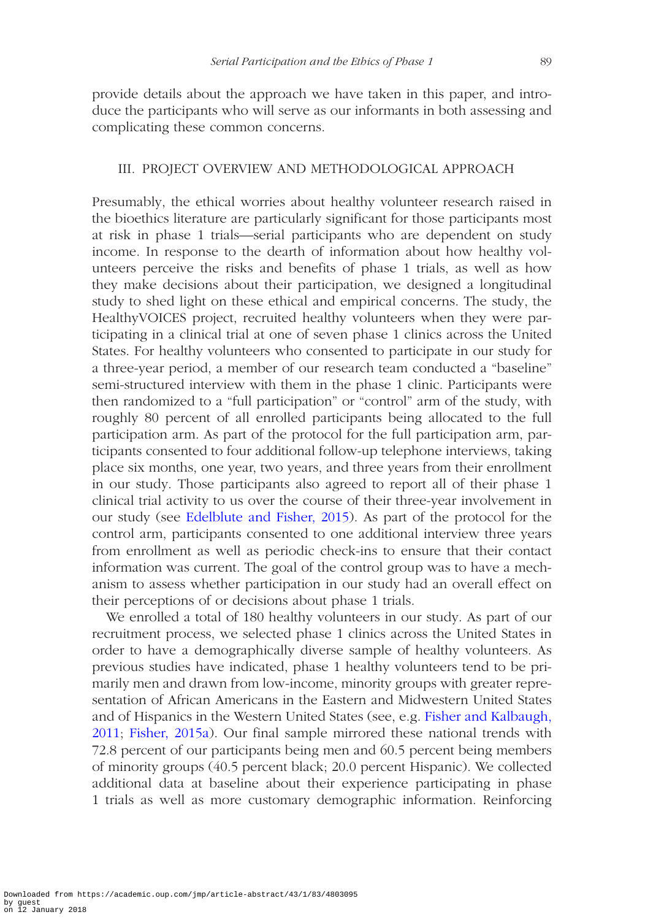provide details about the approach we have taken in this paper, and introduce the participants who will serve as our informants in both assessing and complicating these common concerns.

### III. PROJECT OVERVIEW AND METHODOLOGICAL APPROACH

Presumably, the ethical worries about healthy volunteer research raised in the bioethics literature are particularly significant for those participants most at risk in phase 1 trials—serial participants who are dependent on study income. In response to the dearth of information about how healthy volunteers perceive the risks and benefits of phase 1 trials, as well as how they make decisions about their participation, we designed a longitudinal study to shed light on these ethical and empirical concerns. The study, the HealthyVOICES project, recruited healthy volunteers when they were participating in a clinical trial at one of seven phase 1 clinics across the United States. For healthy volunteers who consented to participate in our study for a three-year period, a member of our research team conducted a "baseline" semi-structured interview with them in the phase 1 clinic. Participants were then randomized to a "full participation" or "control" arm of the study, with roughly 80 percent of all enrolled participants being allocated to the full participation arm. As part of the protocol for the full participation arm, participants consented to four additional follow-up telephone interviews, taking place six months, one year, two years, and three years from their enrollment in our study. Those participants also agreed to report all of their phase 1 clinical trial activity to us over the course of their three-year involvement in our study (see [Edelblute and Fisher, 2015](#page-29-2)). As part of the protocol for the control arm, participants consented to one additional interview three years from enrollment as well as periodic check-ins to ensure that their contact information was current. The goal of the control group was to have a mechanism to assess whether participation in our study had an overall effect on their perceptions of or decisions about phase 1 trials.

We enrolled a total of 180 healthy volunteers in our study. As part of our recruitment process, we selected phase 1 clinics across the United States in order to have a demographically diverse sample of healthy volunteers. As previous studies have indicated, phase 1 healthy volunteers tend to be primarily men and drawn from low-income, minority groups with greater representation of African Americans in the Eastern and Midwestern United States and of Hispanics in the Western United States (see, e.g. [Fisher and Kalbaugh,](#page-30-15)  [2011](#page-30-15); [Fisher, 2015a\)](#page-29-1). Our final sample mirrored these national trends with 72.8 percent of our participants being men and 60.5 percent being members of minority groups (40.5 percent black; 20.0 percent Hispanic). We collected additional data at baseline about their experience participating in phase 1 trials as well as more customary demographic information. Reinforcing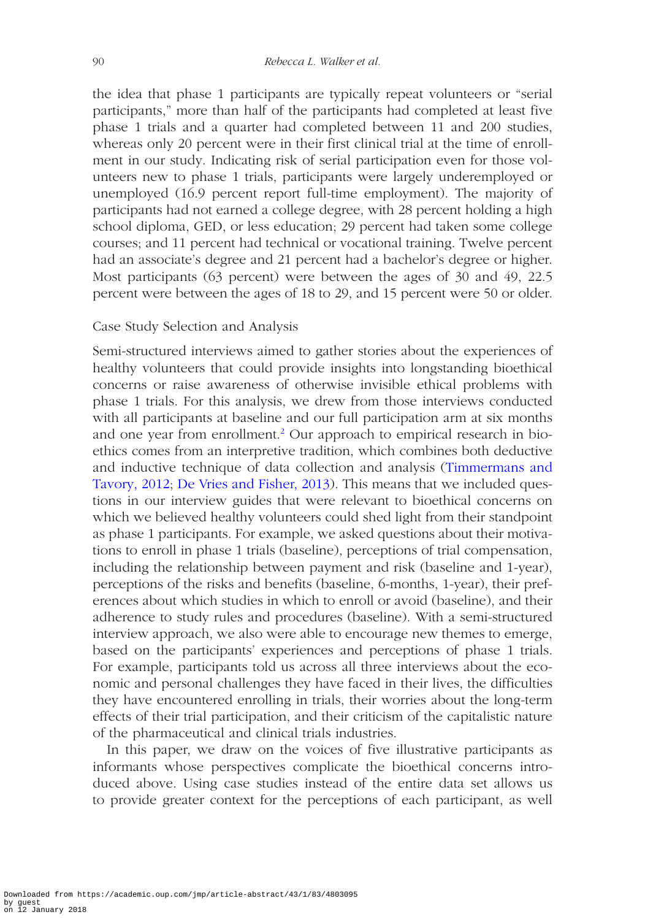the idea that phase 1 participants are typically repeat volunteers or "serial participants," more than half of the participants had completed at least five phase 1 trials and a quarter had completed between 11 and 200 studies, whereas only 20 percent were in their first clinical trial at the time of enrollment in our study. Indicating risk of serial participation even for those volunteers new to phase 1 trials, participants were largely underemployed or unemployed (16.9 percent report full-time employment). The majority of participants had not earned a college degree, with 28 percent holding a high school diploma, GED, or less education; 29 percent had taken some college courses; and 11 percent had technical or vocational training. Twelve percent had an associate's degree and 21 percent had a bachelor's degree or higher. Most participants (63 percent) were between the ages of 30 and 49, 22.5 percent were between the ages of 18 to 29, and 15 percent were 50 or older.

# Case Study Selection and Analysis

Semi-structured interviews aimed to gather stories about the experiences of healthy volunteers that could provide insights into longstanding bioethical concerns or raise awareness of otherwise invisible ethical problems with phase 1 trials. For this analysis, we drew from those interviews conducted with all participants at baseline and our full participation arm at six months and one year from enrollment.<sup>[2](#page-27-1)</sup> Our approach to empirical research in bioethics comes from an interpretive tradition, which combines both deductive and inductive technique of data collection and analysis ([Timmermans and](#page-31-10)  [Tavory, 2012;](#page-31-10) [De Vries and Fisher, 2013](#page-29-9)). This means that we included questions in our interview guides that were relevant to bioethical concerns on which we believed healthy volunteers could shed light from their standpoint as phase 1 participants. For example, we asked questions about their motivations to enroll in phase 1 trials (baseline), perceptions of trial compensation, including the relationship between payment and risk (baseline and 1-year), perceptions of the risks and benefits (baseline, 6-months, 1-year), their preferences about which studies in which to enroll or avoid (baseline), and their adherence to study rules and procedures (baseline). With a semi-structured interview approach, we also were able to encourage new themes to emerge, based on the participants' experiences and perceptions of phase 1 trials. For example, participants told us across all three interviews about the economic and personal challenges they have faced in their lives, the difficulties they have encountered enrolling in trials, their worries about the long-term effects of their trial participation, and their criticism of the capitalistic nature of the pharmaceutical and clinical trials industries.

In this paper, we draw on the voices of five illustrative participants as informants whose perspectives complicate the bioethical concerns introduced above. Using case studies instead of the entire data set allows us to provide greater context for the perceptions of each participant, as well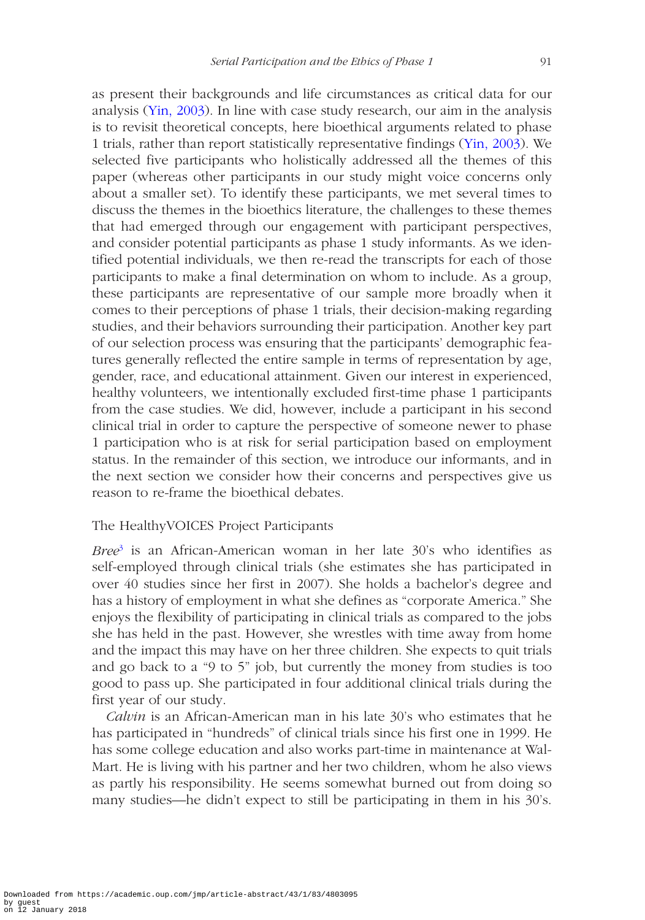as present their backgrounds and life circumstances as critical data for our analysis ([Yin, 2003](#page-31-11)). In line with case study research, our aim in the analysis is to revisit theoretical concepts, here bioethical arguments related to phase 1 trials, rather than report statistically representative findings [\(Yin, 2003](#page-31-11)). We selected five participants who holistically addressed all the themes of this paper (whereas other participants in our study might voice concerns only about a smaller set). To identify these participants, we met several times to discuss the themes in the bioethics literature, the challenges to these themes that had emerged through our engagement with participant perspectives, and consider potential participants as phase 1 study informants. As we identified potential individuals, we then re-read the transcripts for each of those participants to make a final determination on whom to include. As a group, these participants are representative of our sample more broadly when it comes to their perceptions of phase 1 trials, their decision-making regarding studies, and their behaviors surrounding their participation. Another key part of our selection process was ensuring that the participants' demographic features generally reflected the entire sample in terms of representation by age, gender, race, and educational attainment. Given our interest in experienced, healthy volunteers, we intentionally excluded first-time phase 1 participants from the case studies. We did, however, include a participant in his second clinical trial in order to capture the perspective of someone newer to phase 1 participation who is at risk for serial participation based on employment status. In the remainder of this section, we introduce our informants, and in the next section we consider how their concerns and perspectives give us reason to re-frame the bioethical debates.

## The HealthyVOICES Project Participants

*Bree*[3](#page-27-2) is an African-American woman in her late 30's who identifies as self-employed through clinical trials (she estimates she has participated in over 40 studies since her first in 2007). She holds a bachelor's degree and has a history of employment in what she defines as "corporate America." She enjoys the flexibility of participating in clinical trials as compared to the jobs she has held in the past. However, she wrestles with time away from home and the impact this may have on her three children. She expects to quit trials and go back to a "9 to 5" job, but currently the money from studies is too good to pass up. She participated in four additional clinical trials during the first year of our study.

*Calvin* is an African-American man in his late 30's who estimates that he has participated in "hundreds" of clinical trials since his first one in 1999. He has some college education and also works part-time in maintenance at Wal-Mart. He is living with his partner and her two children, whom he also views as partly his responsibility. He seems somewhat burned out from doing so many studies—he didn't expect to still be participating in them in his 30's.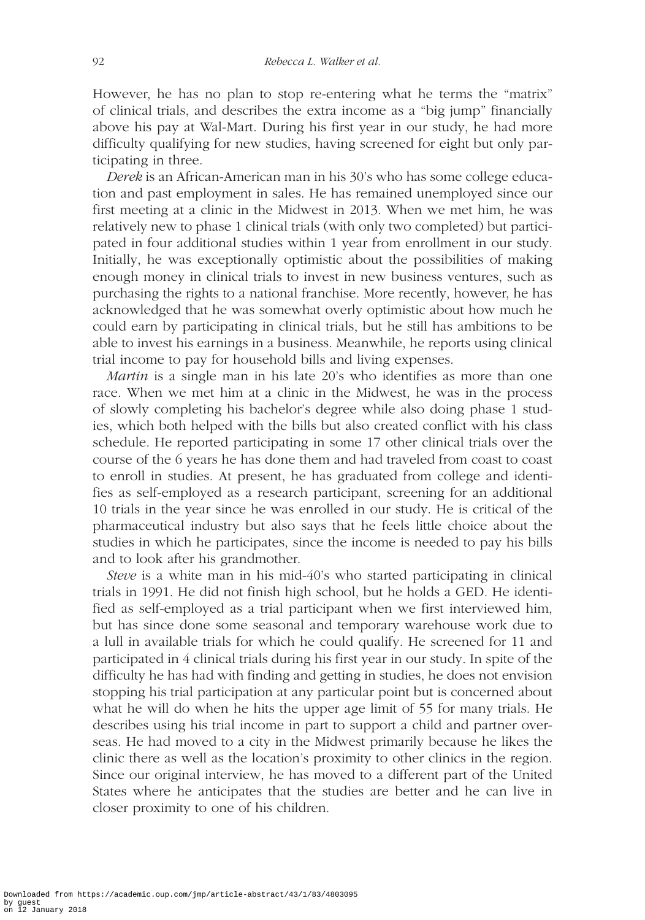However, he has no plan to stop re-entering what he terms the "matrix" of clinical trials, and describes the extra income as a "big jump" financially above his pay at Wal-Mart. During his first year in our study, he had more difficulty qualifying for new studies, having screened for eight but only participating in three.

*Derek* is an African-American man in his 30's who has some college education and past employment in sales. He has remained unemployed since our first meeting at a clinic in the Midwest in 2013. When we met him, he was relatively new to phase 1 clinical trials (with only two completed) but participated in four additional studies within 1 year from enrollment in our study. Initially, he was exceptionally optimistic about the possibilities of making enough money in clinical trials to invest in new business ventures, such as purchasing the rights to a national franchise. More recently, however, he has acknowledged that he was somewhat overly optimistic about how much he could earn by participating in clinical trials, but he still has ambitions to be able to invest his earnings in a business. Meanwhile, he reports using clinical trial income to pay for household bills and living expenses.

*Martin* is a single man in his late 20's who identifies as more than one race. When we met him at a clinic in the Midwest, he was in the process of slowly completing his bachelor's degree while also doing phase 1 studies, which both helped with the bills but also created conflict with his class schedule. He reported participating in some 17 other clinical trials over the course of the 6 years he has done them and had traveled from coast to coast to enroll in studies. At present, he has graduated from college and identifies as self-employed as a research participant, screening for an additional 10 trials in the year since he was enrolled in our study. He is critical of the pharmaceutical industry but also says that he feels little choice about the studies in which he participates, since the income is needed to pay his bills and to look after his grandmother.

*Steve* is a white man in his mid-40's who started participating in clinical trials in 1991. He did not finish high school, but he holds a GED. He identified as self-employed as a trial participant when we first interviewed him, but has since done some seasonal and temporary warehouse work due to a lull in available trials for which he could qualify. He screened for 11 and participated in 4 clinical trials during his first year in our study. In spite of the difficulty he has had with finding and getting in studies, he does not envision stopping his trial participation at any particular point but is concerned about what he will do when he hits the upper age limit of 55 for many trials. He describes using his trial income in part to support a child and partner overseas. He had moved to a city in the Midwest primarily because he likes the clinic there as well as the location's proximity to other clinics in the region. Since our original interview, he has moved to a different part of the United States where he anticipates that the studies are better and he can live in closer proximity to one of his children.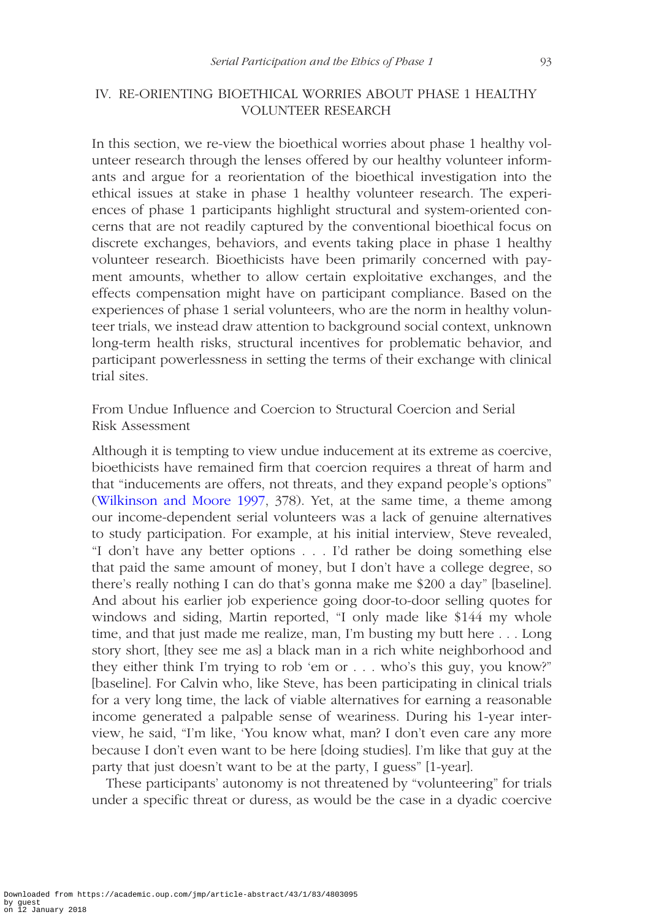# IV. RE-ORIENTING BIOETHICAL WORRIES ABOUT PHASE 1 HEALTHY VOLUNTEER RESEARCH

In this section, we re-view the bioethical worries about phase 1 healthy volunteer research through the lenses offered by our healthy volunteer informants and argue for a reorientation of the bioethical investigation into the ethical issues at stake in phase 1 healthy volunteer research. The experiences of phase 1 participants highlight structural and system-oriented concerns that are not readily captured by the conventional bioethical focus on discrete exchanges, behaviors, and events taking place in phase 1 healthy volunteer research. Bioethicists have been primarily concerned with payment amounts, whether to allow certain exploitative exchanges, and the effects compensation might have on participant compliance. Based on the experiences of phase 1 serial volunteers, who are the norm in healthy volunteer trials, we instead draw attention to background social context, unknown long-term health risks, structural incentives for problematic behavior, and participant powerlessness in setting the terms of their exchange with clinical trial sites.

From Undue Influence and Coercion to Structural Coercion and Serial Risk Assessment

Although it is tempting to view undue inducement at its extreme as coercive, bioethicists have remained firm that coercion requires a threat of harm and that "inducements are offers, not threats, and they expand people's options" ([Wilkinson and Moore 1997,](#page-31-5) 378). Yet, at the same time, a theme among our income-dependent serial volunteers was a lack of genuine alternatives to study participation. For example, at his initial interview, Steve revealed, "I don't have any better options . . . I'd rather be doing something else that paid the same amount of money, but I don't have a college degree, so there's really nothing I can do that's gonna make me \$200 a day" [baseline]. And about his earlier job experience going door-to-door selling quotes for windows and siding, Martin reported, "I only made like \$144 my whole time, and that just made me realize, man, I'm busting my butt here . . . Long story short, [they see me as] a black man in a rich white neighborhood and they either think I'm trying to rob 'em or . . . who's this guy, you know?" [baseline]. For Calvin who, like Steve, has been participating in clinical trials for a very long time, the lack of viable alternatives for earning a reasonable income generated a palpable sense of weariness. During his 1-year interview, he said, "I'm like, 'You know what, man? I don't even care any more because I don't even want to be here [doing studies]. I'm like that guy at the party that just doesn't want to be at the party, I guess" [1-year].

These participants' autonomy is not threatened by "volunteering" for trials under a specific threat or duress, as would be the case in a dyadic coercive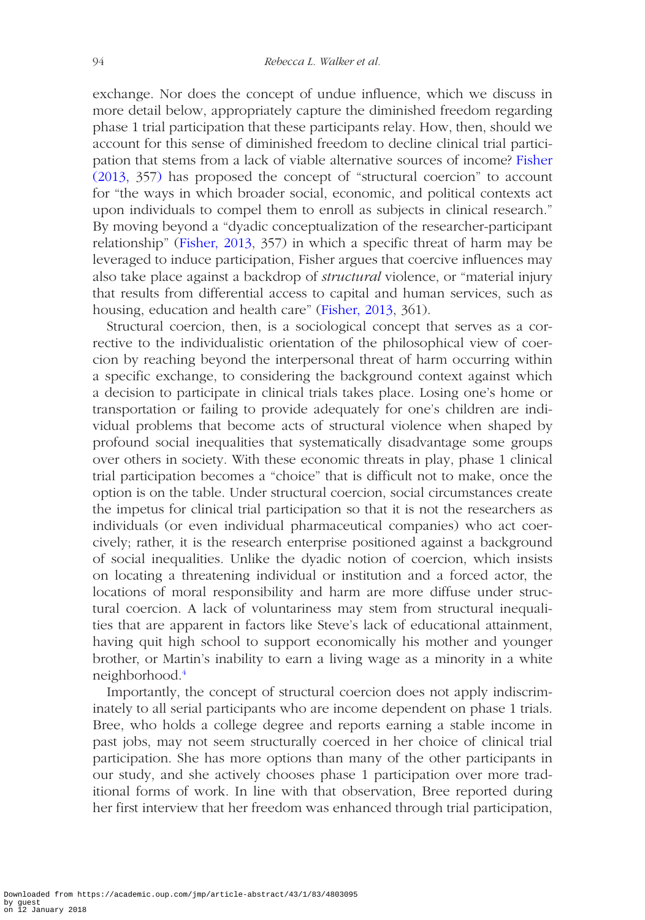exchange. Nor does the concept of undue influence, which we discuss in more detail below, appropriately capture the diminished freedom regarding phase 1 trial participation that these participants relay. How, then, should we account for this sense of diminished freedom to decline clinical trial participation that stems from a lack of viable alternative sources of income? [Fisher](#page-29-10)  [\(2013,](#page-29-10) 357) has proposed the concept of "structural coercion" to account for "the ways in which broader social, economic, and political contexts act upon individuals to compel them to enroll as subjects in clinical research." By moving beyond a "dyadic conceptualization of the researcher-participant relationship" [\(Fisher, 2013](#page-29-10), 357) in which a specific threat of harm may be leveraged to induce participation, Fisher argues that coercive influences may also take place against a backdrop of *structural* violence, or "material injury that results from differential access to capital and human services, such as housing, education and health care" [\(Fisher, 2013,](#page-29-10) 361).

Structural coercion, then, is a sociological concept that serves as a corrective to the individualistic orientation of the philosophical view of coercion by reaching beyond the interpersonal threat of harm occurring within a specific exchange, to considering the background context against which a decision to participate in clinical trials takes place. Losing one's home or transportation or failing to provide adequately for one's children are individual problems that become acts of structural violence when shaped by profound social inequalities that systematically disadvantage some groups over others in society. With these economic threats in play, phase 1 clinical trial participation becomes a "choice" that is difficult not to make, once the option is on the table. Under structural coercion, social circumstances create the impetus for clinical trial participation so that it is not the researchers as individuals (or even individual pharmaceutical companies) who act coercively; rather, it is the research enterprise positioned against a background of social inequalities. Unlike the dyadic notion of coercion, which insists on locating a threatening individual or institution and a forced actor, the locations of moral responsibility and harm are more diffuse under structural coercion. A lack of voluntariness may stem from structural inequalities that are apparent in factors like Steve's lack of educational attainment, having quit high school to support economically his mother and younger brother, or Martin's inability to earn a living wage as a minority in a white neighborhood[.4](#page-27-3)

Importantly, the concept of structural coercion does not apply indiscriminately to all serial participants who are income dependent on phase 1 trials. Bree, who holds a college degree and reports earning a stable income in past jobs, may not seem structurally coerced in her choice of clinical trial participation. She has more options than many of the other participants in our study, and she actively chooses phase 1 participation over more traditional forms of work. In line with that observation, Bree reported during her first interview that her freedom was enhanced through trial participation,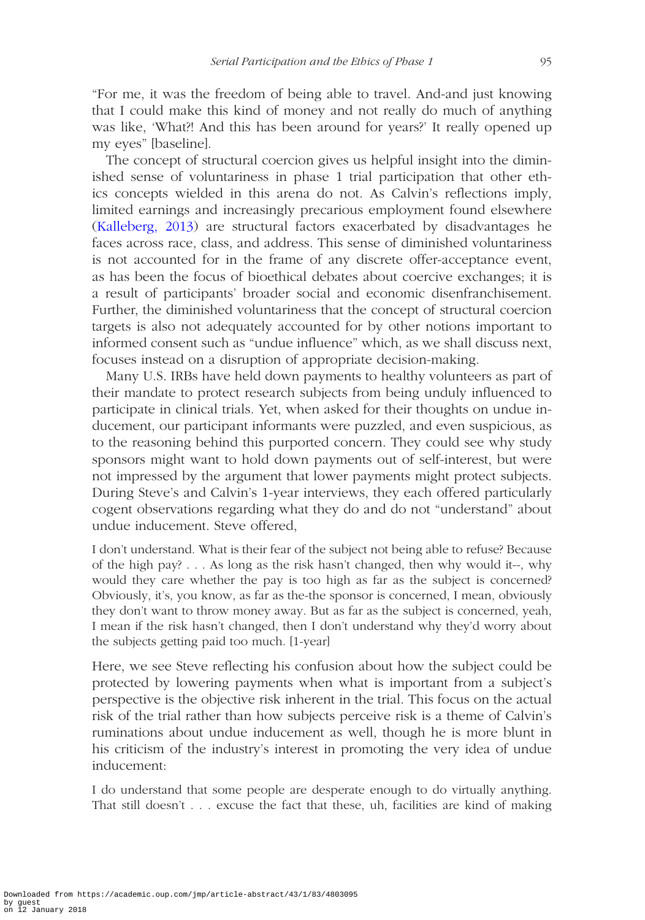"For me, it was the freedom of being able to travel. And-and just knowing that I could make this kind of money and not really do much of anything was like, 'What?! And this has been around for years?' It really opened up my eyes" [baseline].

The concept of structural coercion gives us helpful insight into the diminished sense of voluntariness in phase 1 trial participation that other ethics concepts wielded in this arena do not. As Calvin's reflections imply, limited earnings and increasingly precarious employment found elsewhere ([Kalleberg, 2013](#page-30-16)) are structural factors exacerbated by disadvantages he faces across race, class, and address. This sense of diminished voluntariness is not accounted for in the frame of any discrete offer-acceptance event, as has been the focus of bioethical debates about coercive exchanges; it is a result of participants' broader social and economic disenfranchisement. Further, the diminished voluntariness that the concept of structural coercion targets is also not adequately accounted for by other notions important to informed consent such as "undue influence" which, as we shall discuss next, focuses instead on a disruption of appropriate decision-making.

Many U.S. IRBs have held down payments to healthy volunteers as part of their mandate to protect research subjects from being unduly influenced to participate in clinical trials. Yet, when asked for their thoughts on undue inducement, our participant informants were puzzled, and even suspicious, as to the reasoning behind this purported concern. They could see why study sponsors might want to hold down payments out of self-interest, but were not impressed by the argument that lower payments might protect subjects. During Steve's and Calvin's 1-year interviews, they each offered particularly cogent observations regarding what they do and do not "understand" about undue inducement. Steve offered,

I don't understand. What is their fear of the subject not being able to refuse? Because of the high pay? . . . As long as the risk hasn't changed, then why would it--, why would they care whether the pay is too high as far as the subject is concerned? Obviously, it's, you know, as far as the-the sponsor is concerned, I mean, obviously they don't want to throw money away. But as far as the subject is concerned, yeah, I mean if the risk hasn't changed, then I don't understand why they'd worry about the subjects getting paid too much. [1-year]

Here, we see Steve reflecting his confusion about how the subject could be protected by lowering payments when what is important from a subject's perspective is the objective risk inherent in the trial. This focus on the actual risk of the trial rather than how subjects perceive risk is a theme of Calvin's ruminations about undue inducement as well, though he is more blunt in his criticism of the industry's interest in promoting the very idea of undue inducement:

I do understand that some people are desperate enough to do virtually anything. That still doesn't . . . excuse the fact that these, uh, facilities are kind of making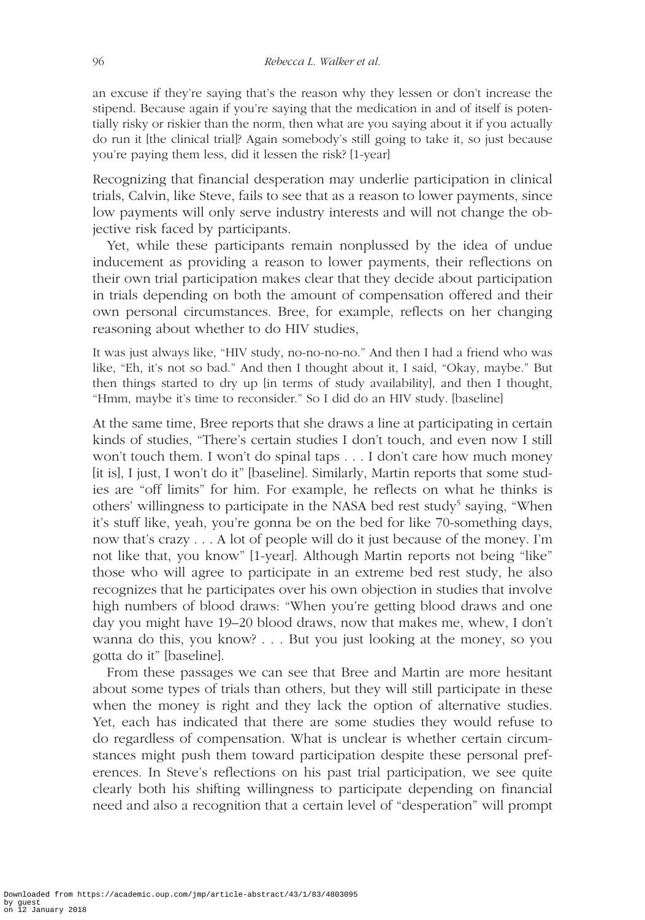an excuse if they're saying that's the reason why they lessen or don't increase the stipend. Because again if you're saying that the medication in and of itself is potentially risky or riskier than the norm, then what are you saying about it if you actually do run it [the clinical trial]? Again somebody's still going to take it, so just because you're paying them less, did it lessen the risk? [1-year]

Recognizing that financial desperation may underlie participation in clinical trials, Calvin, like Steve, fails to see that as a reason to lower payments, since low payments will only serve industry interests and will not change the objective risk faced by participants.

Yet, while these participants remain nonplussed by the idea of undue inducement as providing a reason to lower payments, their reflections on their own trial participation makes clear that they decide about participation in trials depending on both the amount of compensation offered and their own personal circumstances. Bree, for example, reflects on her changing reasoning about whether to do HIV studies,

It was just always like, "HIV study, no-no-no-no." And then I had a friend who was like, "Eh, it's not so bad." And then I thought about it, I said, "Okay, maybe." But then things started to dry up [in terms of study availability], and then I thought, "Hmm, maybe it's time to reconsider." So I did do an HIV study. [baseline]

At the same time, Bree reports that she draws a line at participating in certain kinds of studies, "There's certain studies I don't touch, and even now I still won't touch them. I won't do spinal taps . . . I don't care how much money [it is], I just, I won't do it" [baseline]. Similarly, Martin reports that some studies are "off limits" for him. For example, he reflects on what he thinks is others' willingness to participate in the NASA bed rest study<sup>5</sup> saying, "When it's stuff like, yeah, you're gonna be on the bed for like 70-something days, now that's crazy . . . A lot of people will do it just because of the money. I'm not like that, you know" [1-year]. Although Martin reports not being "like" those who will agree to participate in an extreme bed rest study, he also recognizes that he participates over his own objection in studies that involve high numbers of blood draws: "When you're getting blood draws and one day you might have 19–20 blood draws, now that makes me, whew, I don't wanna do this, you know? . . . But you just looking at the money, so you gotta do it" [baseline].

From these passages we can see that Bree and Martin are more hesitant about some types of trials than others, but they will still participate in these when the money is right and they lack the option of alternative studies. Yet, each has indicated that there are some studies they would refuse to do regardless of compensation. What is unclear is whether certain circumstances might push them toward participation despite these personal preferences. In Steve's reflections on his past trial participation, we see quite clearly both his shifting willingness to participate depending on financial need and also a recognition that a certain level of "desperation" will prompt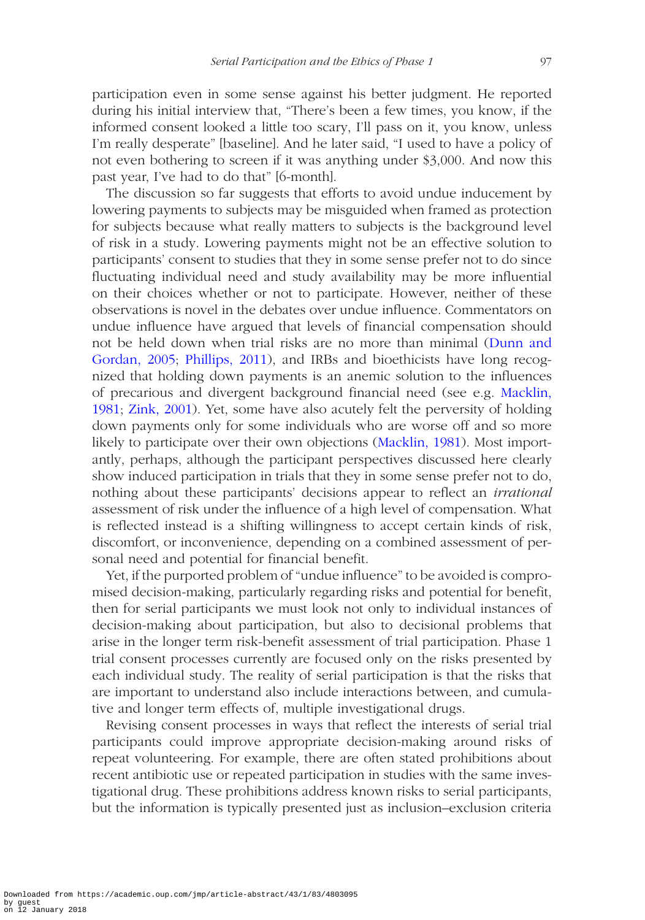participation even in some sense against his better judgment. He reported during his initial interview that, "There's been a few times, you know, if the informed consent looked a little too scary, I'll pass on it, you know, unless I'm really desperate" [baseline]. And he later said, "I used to have a policy of not even bothering to screen if it was anything under \$3,000. And now this past year, I've had to do that" [6-month].

The discussion so far suggests that efforts to avoid undue inducement by lowering payments to subjects may be misguided when framed as protection for subjects because what really matters to subjects is the background level of risk in a study. Lowering payments might not be an effective solution to participants' consent to studies that they in some sense prefer not to do since fluctuating individual need and study availability may be more influential on their choices whether or not to participate. However, neither of these observations is novel in the debates over undue influence. Commentators on undue influence have argued that levels of financial compensation should not be held down when trial risks are no more than minimal [\(Dunn and](#page-29-7)  [Gordan, 2005](#page-29-7); [Phillips, 2011](#page-30-14)), and IRBs and bioethicists have long recognized that holding down payments is an anemic solution to the influences of precarious and divergent background financial need (see e.g. [Macklin,](#page-30-9)  [1981](#page-30-9); [Zink, 2001](#page-31-12)). Yet, some have also acutely felt the perversity of holding down payments only for some individuals who are worse off and so more likely to participate over their own objections ([Macklin, 1981](#page-30-9)). Most importantly, perhaps, although the participant perspectives discussed here clearly show induced participation in trials that they in some sense prefer not to do, nothing about these participants' decisions appear to reflect an *irrational* assessment of risk under the influence of a high level of compensation. What is reflected instead is a shifting willingness to accept certain kinds of risk, discomfort, or inconvenience, depending on a combined assessment of personal need and potential for financial benefit.

Yet, if the purported problem of "undue influence" to be avoided is compromised decision-making, particularly regarding risks and potential for benefit, then for serial participants we must look not only to individual instances of decision-making about participation, but also to decisional problems that arise in the longer term risk-benefit assessment of trial participation. Phase 1 trial consent processes currently are focused only on the risks presented by each individual study. The reality of serial participation is that the risks that are important to understand also include interactions between, and cumulative and longer term effects of, multiple investigational drugs.

Revising consent processes in ways that reflect the interests of serial trial participants could improve appropriate decision-making around risks of repeat volunteering. For example, there are often stated prohibitions about recent antibiotic use or repeated participation in studies with the same investigational drug. These prohibitions address known risks to serial participants, but the information is typically presented just as inclusion–exclusion criteria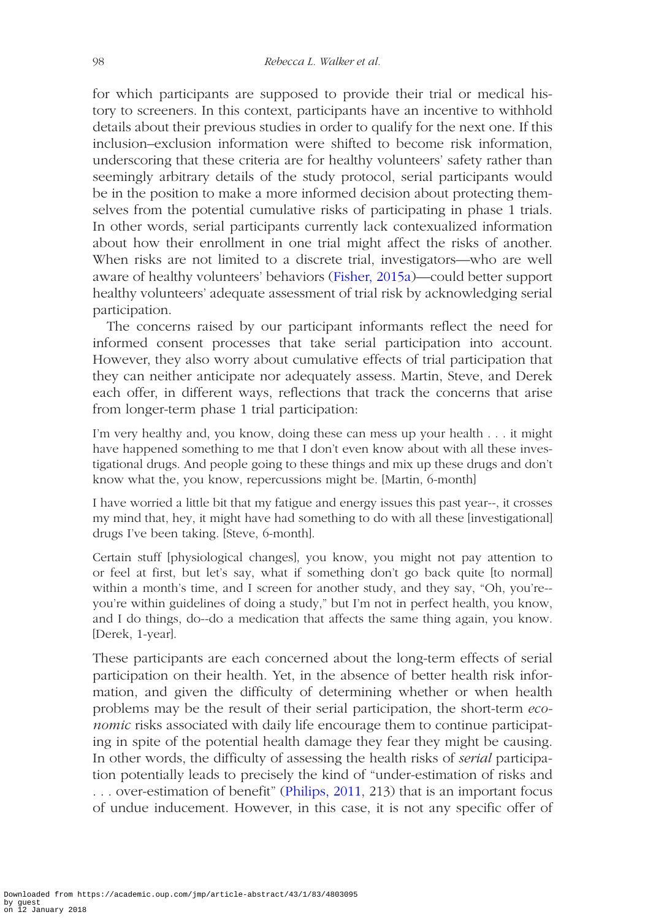for which participants are supposed to provide their trial or medical history to screeners. In this context, participants have an incentive to withhold details about their previous studies in order to qualify for the next one. If this inclusion–exclusion information were shifted to become risk information, underscoring that these criteria are for healthy volunteers' safety rather than seemingly arbitrary details of the study protocol, serial participants would be in the position to make a more informed decision about protecting themselves from the potential cumulative risks of participating in phase 1 trials. In other words, serial participants currently lack contexualized information about how their enrollment in one trial might affect the risks of another. When risks are not limited to a discrete trial, investigators—who are well aware of healthy volunteers' behaviors [\(Fisher, 2015a\)](#page-29-1)—could better support healthy volunteers' adequate assessment of trial risk by acknowledging serial participation.

The concerns raised by our participant informants reflect the need for informed consent processes that take serial participation into account. However, they also worry about cumulative effects of trial participation that they can neither anticipate nor adequately assess. Martin, Steve, and Derek each offer, in different ways, reflections that track the concerns that arise from longer-term phase 1 trial participation:

I'm very healthy and, you know, doing these can mess up your health . . . it might have happened something to me that I don't even know about with all these investigational drugs. And people going to these things and mix up these drugs and don't know what the, you know, repercussions might be. [Martin, 6-month]

I have worried a little bit that my fatigue and energy issues this past year--, it crosses my mind that, hey, it might have had something to do with all these [investigational] drugs I've been taking. [Steve, 6-month].

Certain stuff [physiological changes], you know, you might not pay attention to or feel at first, but let's say, what if something don't go back quite [to normal] within a month's time, and I screen for another study, and they say, "Oh, you're- you're within guidelines of doing a study," but I'm not in perfect health, you know, and I do things, do--do a medication that affects the same thing again, you know. [Derek, 1-year].

These participants are each concerned about the long-term effects of serial participation on their health. Yet, in the absence of better health risk information, and given the difficulty of determining whether or when health problems may be the result of their serial participation, the short-term *economic* risks associated with daily life encourage them to continue participating in spite of the potential health damage they fear they might be causing. In other words, the difficulty of assessing the health risks of *serial* participation potentially leads to precisely the kind of "under-estimation of risks and . . . over-estimation of benefit" [\(Philips, 2011,](#page-30-14) 213) that is an important focus of undue inducement. However, in this case, it is not any specific offer of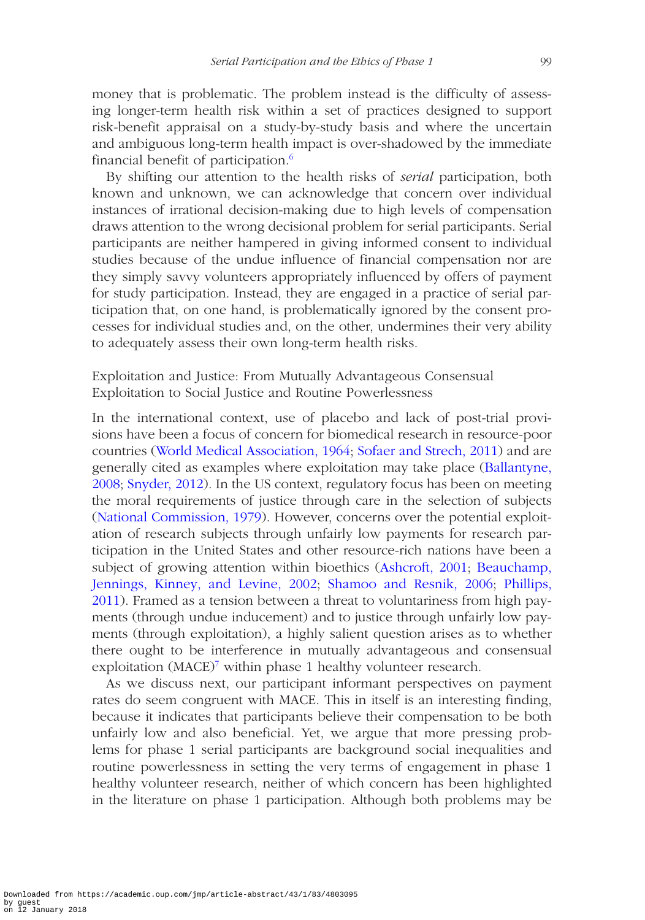money that is problematic. The problem instead is the difficulty of assessing longer-term health risk within a set of practices designed to support risk-benefit appraisal on a study-by-study basis and where the uncertain and ambiguous long-term health impact is over-shadowed by the immediate financial benefit of participation.<sup>6</sup>

By shifting our attention to the health risks of *serial* participation, both known and unknown, we can acknowledge that concern over individual instances of irrational decision-making due to high levels of compensation draws attention to the wrong decisional problem for serial participants. Serial participants are neither hampered in giving informed consent to individual studies because of the undue influence of financial compensation nor are they simply savvy volunteers appropriately influenced by offers of payment for study participation. Instead, they are engaged in a practice of serial participation that, on one hand, is problematically ignored by the consent processes for individual studies and, on the other, undermines their very ability to adequately assess their own long-term health risks.

# Exploitation and Justice: From Mutually Advantageous Consensual Exploitation to Social Justice and Routine Powerlessness

In the international context, use of placebo and lack of post-trial provisions have been a focus of concern for biomedical research in resource-poor countries [\(World Medical Association, 1964](#page-31-13); [Sofaer and Strech, 2011\)](#page-31-14) and are generally cited as examples where exploitation may take place [\(Ballantyne,](#page-28-1) [2008](#page-28-1); [Snyder, 2012](#page-31-15)). In the US context, regulatory focus has been on meeting the moral requirements of justice through care in the selection of subjects ([National Commission, 1979\)](#page-30-0). However, concerns over the potential exploitation of research subjects through unfairly low payments for research participation in the United States and other resource-rich nations have been a subject of growing attention within bioethics ([Ashcroft, 2001;](#page-28-3) [Beauchamp,](#page-29-11)  [Jennings, Kinney, and Levine, 2002](#page-29-11); [Shamoo and Resnik, 2006;](#page-31-8) [Phillips,](#page-30-14)  [2011](#page-30-14)). Framed as a tension between a threat to voluntariness from high payments (through undue inducement) and to justice through unfairly low payments (through exploitation), a highly salient question arises as to whether there ought to be interference in mutually advantageous and consensual exploitation (MACE)<sup>7</sup> within phase 1 healthy volunteer research.

As we discuss next, our participant informant perspectives on payment rates do seem congruent with MACE. This in itself is an interesting finding, because it indicates that participants believe their compensation to be both unfairly low and also beneficial. Yet, we argue that more pressing problems for phase 1 serial participants are background social inequalities and routine powerlessness in setting the very terms of engagement in phase 1 healthy volunteer research, neither of which concern has been highlighted in the literature on phase 1 participation. Although both problems may be

Downloaded from https://academic.oup.com/jmp/article-abstract/43/1/83/4803095 by guest on 12 January 2018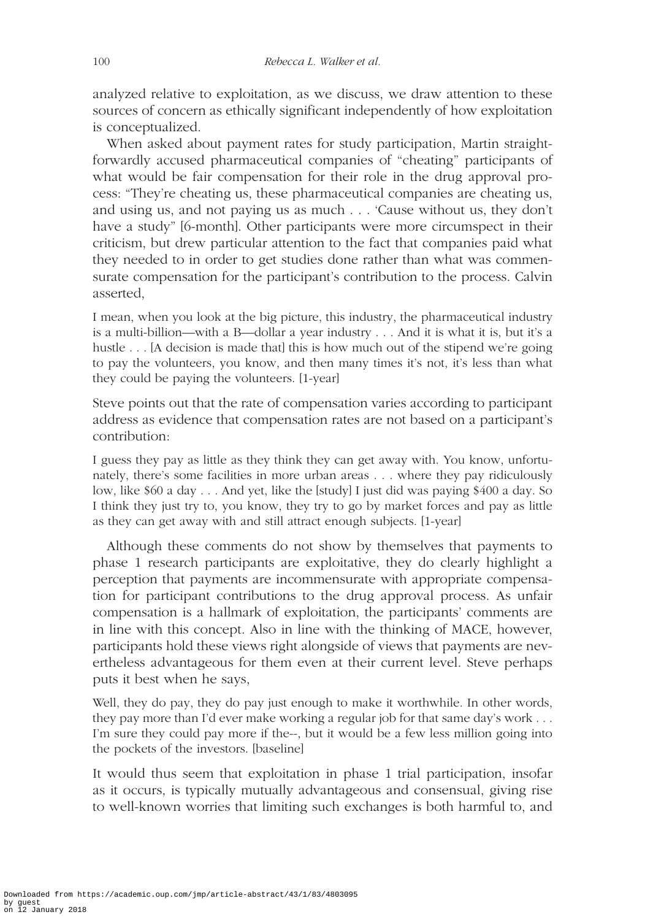analyzed relative to exploitation, as we discuss, we draw attention to these sources of concern as ethically significant independently of how exploitation is conceptualized.

When asked about payment rates for study participation, Martin straightforwardly accused pharmaceutical companies of "cheating" participants of what would be fair compensation for their role in the drug approval process: "They're cheating us, these pharmaceutical companies are cheating us, and using us, and not paying us as much . . . 'Cause without us, they don't have a study" [6-month]. Other participants were more circumspect in their criticism, but drew particular attention to the fact that companies paid what they needed to in order to get studies done rather than what was commensurate compensation for the participant's contribution to the process. Calvin asserted,

I mean, when you look at the big picture, this industry, the pharmaceutical industry is a multi-billion—with a B—dollar a year industry . . . And it is what it is, but it's a hustle . . . [A decision is made that] this is how much out of the stipend we're going to pay the volunteers, you know, and then many times it's not, it's less than what they could be paying the volunteers. [1-year]

Steve points out that the rate of compensation varies according to participant address as evidence that compensation rates are not based on a participant's contribution:

I guess they pay as little as they think they can get away with. You know, unfortunately, there's some facilities in more urban areas . . . where they pay ridiculously low, like \$60 a day . . . And yet, like the [study] I just did was paying \$400 a day. So I think they just try to, you know, they try to go by market forces and pay as little as they can get away with and still attract enough subjects. [1-year]

Although these comments do not show by themselves that payments to phase 1 research participants are exploitative, they do clearly highlight a perception that payments are incommensurate with appropriate compensation for participant contributions to the drug approval process. As unfair compensation is a hallmark of exploitation, the participants' comments are in line with this concept. Also in line with the thinking of MACE, however, participants hold these views right alongside of views that payments are nevertheless advantageous for them even at their current level. Steve perhaps puts it best when he says,

Well, they do pay, they do pay just enough to make it worthwhile. In other words, they pay more than I'd ever make working a regular job for that same day's work . . . I'm sure they could pay more if the--, but it would be a few less million going into the pockets of the investors. [baseline]

It would thus seem that exploitation in phase 1 trial participation, insofar as it occurs, is typically mutually advantageous and consensual, giving rise to well-known worries that limiting such exchanges is both harmful to, and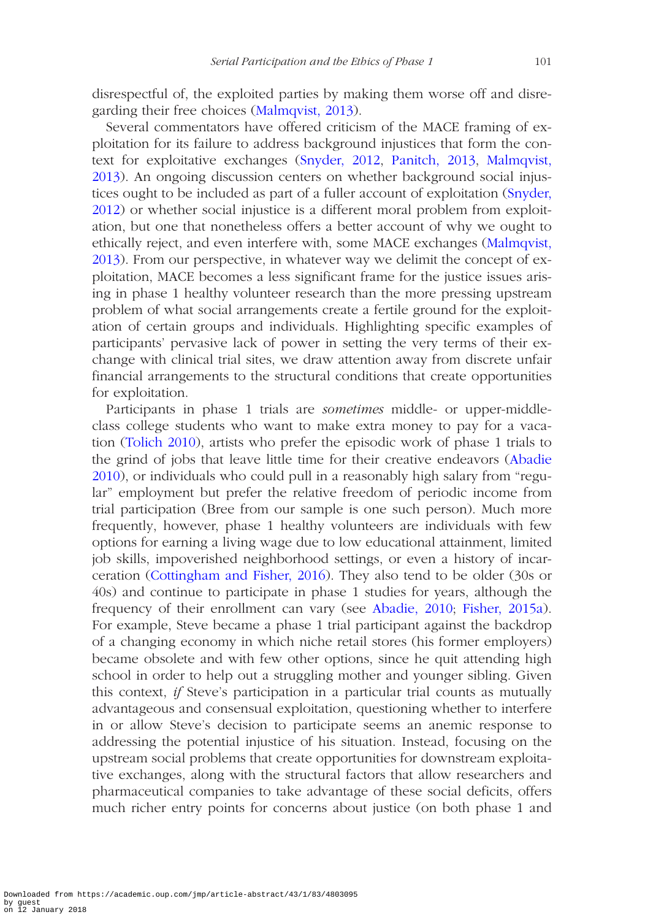disrespectful of, the exploited parties by making them worse off and disregarding their free choices [\(Malmqvist, 2013\)](#page-30-17).

Several commentators have offered criticism of the MACE framing of exploitation for its failure to address background injustices that form the context for exploitative exchanges [\(Snyder, 2012,](#page-31-15) [Panitch, 2013](#page-30-18), [Malmqvist,](#page-30-17)  [2013\)](#page-30-17). An ongoing discussion centers on whether background social injus-tices ought to be included as part of a fuller account of exploitation [\(Snyder,](#page-31-15) [2012\)](#page-31-15) or whether social injustice is a different moral problem from exploitation, but one that nonetheless offers a better account of why we ought to ethically reject, and even interfere with, some MACE exchanges [\(Malmqvist,](#page-30-17) [2013\)](#page-30-17). From our perspective, in whatever way we delimit the concept of exploitation, MACE becomes a less significant frame for the justice issues arising in phase 1 healthy volunteer research than the more pressing upstream problem of what social arrangements create a fertile ground for the exploitation of certain groups and individuals. Highlighting specific examples of participants' pervasive lack of power in setting the very terms of their exchange with clinical trial sites, we draw attention away from discrete unfair financial arrangements to the structural conditions that create opportunities for exploitation.

Participants in phase 1 trials are *sometimes* middle- or upper-middleclass college students who want to make extra money to pay for a vacation [\(Tolich 2010](#page-31-16)), artists who prefer the episodic work of phase 1 trials to the grind of jobs that leave little time for their creative endeavors [\(Abadie](#page-28-0) [2010\)](#page-28-0), or individuals who could pull in a reasonably high salary from "regular" employment but prefer the relative freedom of periodic income from trial participation (Bree from our sample is one such person). Much more frequently, however, phase 1 healthy volunteers are individuals with few options for earning a living wage due to low educational attainment, limited job skills, impoverished neighborhood settings, or even a history of incarceration ([Cottingham and Fisher, 2016\)](#page-29-12). They also tend to be older (30s or 40s) and continue to participate in phase 1 studies for years, although the frequency of their enrollment can vary (see [Abadie, 2010](#page-28-0); [Fisher, 2015a](#page-29-1)). For example, Steve became a phase 1 trial participant against the backdrop of a changing economy in which niche retail stores (his former employers) became obsolete and with few other options, since he quit attending high school in order to help out a struggling mother and younger sibling. Given this context, *if* Steve's participation in a particular trial counts as mutually advantageous and consensual exploitation, questioning whether to interfere in or allow Steve's decision to participate seems an anemic response to addressing the potential injustice of his situation. Instead, focusing on the upstream social problems that create opportunities for downstream exploitative exchanges, along with the structural factors that allow researchers and pharmaceutical companies to take advantage of these social deficits, offers much richer entry points for concerns about justice (on both phase 1 and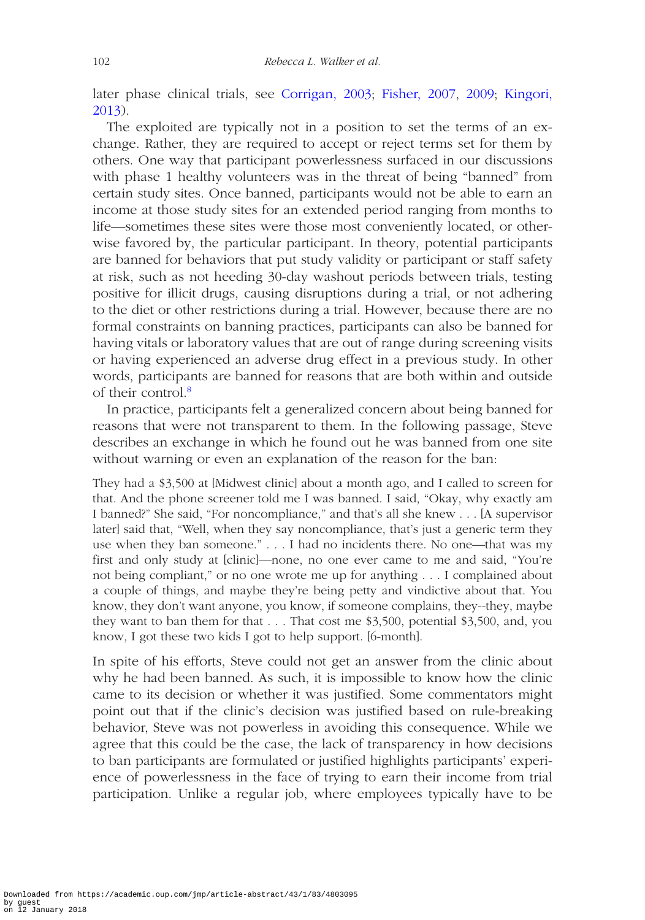later phase clinical trials, see [Corrigan, 2003;](#page-29-13) [Fisher, 2007,](#page-29-14) [2009;](#page-29-15) [Kingori,](#page-30-19)  [2013\)](#page-30-19).

The exploited are typically not in a position to set the terms of an exchange. Rather, they are required to accept or reject terms set for them by others. One way that participant powerlessness surfaced in our discussions with phase 1 healthy volunteers was in the threat of being "banned" from certain study sites. Once banned, participants would not be able to earn an income at those study sites for an extended period ranging from months to life—sometimes these sites were those most conveniently located, or otherwise favored by, the particular participant. In theory, potential participants are banned for behaviors that put study validity or participant or staff safety at risk, such as not heeding 30-day washout periods between trials, testing positive for illicit drugs, causing disruptions during a trial, or not adhering to the diet or other restrictions during a trial. However, because there are no formal constraints on banning practices, participants can also be banned for having vitals or laboratory values that are out of range during screening visits or having experienced an adverse drug effect in a previous study. In other words, participants are banned for reasons that are both within and outside of their control.<sup>8</sup>

In practice, participants felt a generalized concern about being banned for reasons that were not transparent to them. In the following passage, Steve describes an exchange in which he found out he was banned from one site without warning or even an explanation of the reason for the ban:

They had a \$3,500 at [Midwest clinic] about a month ago, and I called to screen for that. And the phone screener told me I was banned. I said, "Okay, why exactly am I banned?" She said, "For noncompliance," and that's all she knew . . . [A supervisor later] said that, "Well, when they say noncompliance, that's just a generic term they use when they ban someone." . . . I had no incidents there. No one—that was my first and only study at [clinic]—none, no one ever came to me and said, "You're not being compliant," or no one wrote me up for anything . . . I complained about a couple of things, and maybe they're being petty and vindictive about that. You know, they don't want anyone, you know, if someone complains, they--they, maybe they want to ban them for that . . . That cost me \$3,500, potential \$3,500, and, you know, I got these two kids I got to help support. [6-month].

In spite of his efforts, Steve could not get an answer from the clinic about why he had been banned. As such, it is impossible to know how the clinic came to its decision or whether it was justified. Some commentators might point out that if the clinic's decision was justified based on rule-breaking behavior, Steve was not powerless in avoiding this consequence. While we agree that this could be the case, the lack of transparency in how decisions to ban participants are formulated or justified highlights participants' experience of powerlessness in the face of trying to earn their income from trial participation. Unlike a regular job, where employees typically have to be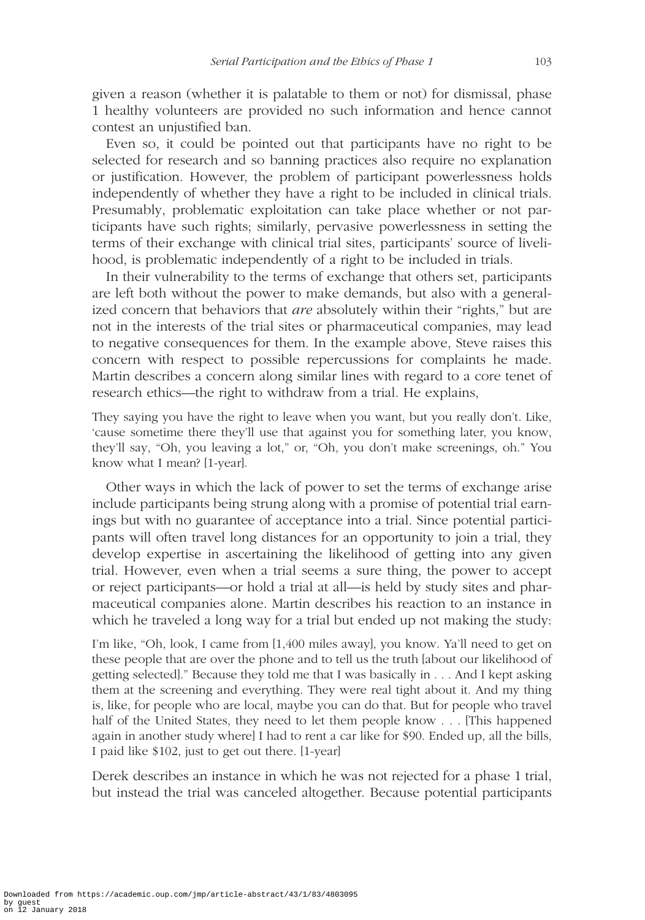given a reason (whether it is palatable to them or not) for dismissal, phase 1 healthy volunteers are provided no such information and hence cannot contest an unjustified ban.

Even so, it could be pointed out that participants have no right to be selected for research and so banning practices also require no explanation or justification. However, the problem of participant powerlessness holds independently of whether they have a right to be included in clinical trials. Presumably, problematic exploitation can take place whether or not participants have such rights; similarly, pervasive powerlessness in setting the terms of their exchange with clinical trial sites, participants' source of livelihood, is problematic independently of a right to be included in trials.

In their vulnerability to the terms of exchange that others set, participants are left both without the power to make demands, but also with a generalized concern that behaviors that *are* absolutely within their "rights," but are not in the interests of the trial sites or pharmaceutical companies, may lead to negative consequences for them. In the example above, Steve raises this concern with respect to possible repercussions for complaints he made. Martin describes a concern along similar lines with regard to a core tenet of research ethics—the right to withdraw from a trial. He explains,

They saying you have the right to leave when you want, but you really don't. Like, 'cause sometime there they'll use that against you for something later, you know, they'll say, "Oh, you leaving a lot," or, "Oh, you don't make screenings, oh." You know what I mean? [1-year].

Other ways in which the lack of power to set the terms of exchange arise include participants being strung along with a promise of potential trial earnings but with no guarantee of acceptance into a trial. Since potential participants will often travel long distances for an opportunity to join a trial, they develop expertise in ascertaining the likelihood of getting into any given trial. However, even when a trial seems a sure thing, the power to accept or reject participants—or hold a trial at all—is held by study sites and pharmaceutical companies alone. Martin describes his reaction to an instance in which he traveled a long way for a trial but ended up not making the study:

I'm like, "Oh, look, I came from [1,400 miles away], you know. Ya'll need to get on these people that are over the phone and to tell us the truth [about our likelihood of getting selected]." Because they told me that I was basically in . . . And I kept asking them at the screening and everything. They were real tight about it. And my thing is, like, for people who are local, maybe you can do that. But for people who travel half of the United States, they need to let them people know . . . [This happened again in another study where] I had to rent a car like for \$90. Ended up, all the bills, I paid like \$102, just to get out there. [1-year]

Derek describes an instance in which he was not rejected for a phase 1 trial, but instead the trial was canceled altogether. Because potential participants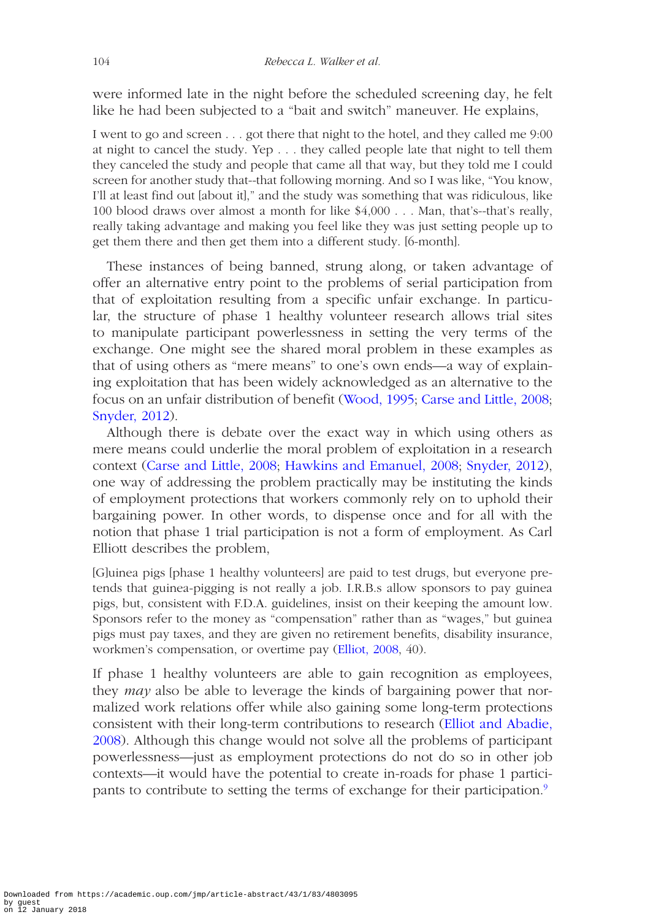were informed late in the night before the scheduled screening day, he felt like he had been subjected to a "bait and switch" maneuver. He explains,

I went to go and screen . . . got there that night to the hotel, and they called me 9:00 at night to cancel the study. Yep . . . they called people late that night to tell them they canceled the study and people that came all that way, but they told me I could screen for another study that--that following morning. And so I was like, "You know, I'll at least find out [about it]," and the study was something that was ridiculous, like 100 blood draws over almost a month for like \$4,000 . . . Man, that's--that's really, really taking advantage and making you feel like they was just setting people up to get them there and then get them into a different study. [6-month].

These instances of being banned, strung along, or taken advantage of offer an alternative entry point to the problems of serial participation from that of exploitation resulting from a specific unfair exchange. In particular, the structure of phase 1 healthy volunteer research allows trial sites to manipulate participant powerlessness in setting the very terms of the exchange. One might see the shared moral problem in these examples as that of using others as "mere means" to one's own ends—a way of explaining exploitation that has been widely acknowledged as an alternative to the focus on an unfair distribution of benefit ([Wood, 1995](#page-31-17); [Carse and Little, 2008;](#page-29-16) [Snyder, 2012\)](#page-31-15).

Although there is debate over the exact way in which using others as mere means could underlie the moral problem of exploitation in a research context ([Carse and Little, 2008;](#page-29-16) [Hawkins and Emanuel, 2008](#page-30-20); [Snyder, 2012\)](#page-31-15), one way of addressing the problem practically may be instituting the kinds of employment protections that workers commonly rely on to uphold their bargaining power. In other words, to dispense once and for all with the notion that phase 1 trial participation is not a form of employment. As Carl Elliott describes the problem,

[G]uinea pigs [phase 1 healthy volunteers] are paid to test drugs, but everyone pretends that guinea-pigging is not really a job. I.R.B.s allow sponsors to pay guinea pigs, but, consistent with F.D.A. guidelines, insist on their keeping the amount low. Sponsors refer to the money as "compensation" rather than as "wages," but guinea pigs must pay taxes, and they are given no retirement benefits, disability insurance, workmen's compensation, or overtime pay [\(Elliot, 2008,](#page-29-4) 40).

If phase 1 healthy volunteers are able to gain recognition as employees, they *may* also be able to leverage the kinds of bargaining power that normalized work relations offer while also gaining some long-term protections consistent with their long-term contributions to research ([Elliot and Abadie,](#page-29-17)  [2008\)](#page-29-17). Although this change would not solve all the problems of participant powerlessness—just as employment protections do not do so in other job contexts—it would have the potential to create in-roads for phase 1 participants to contribute to setting the terms of exchange for their participation.[9](#page-28-6)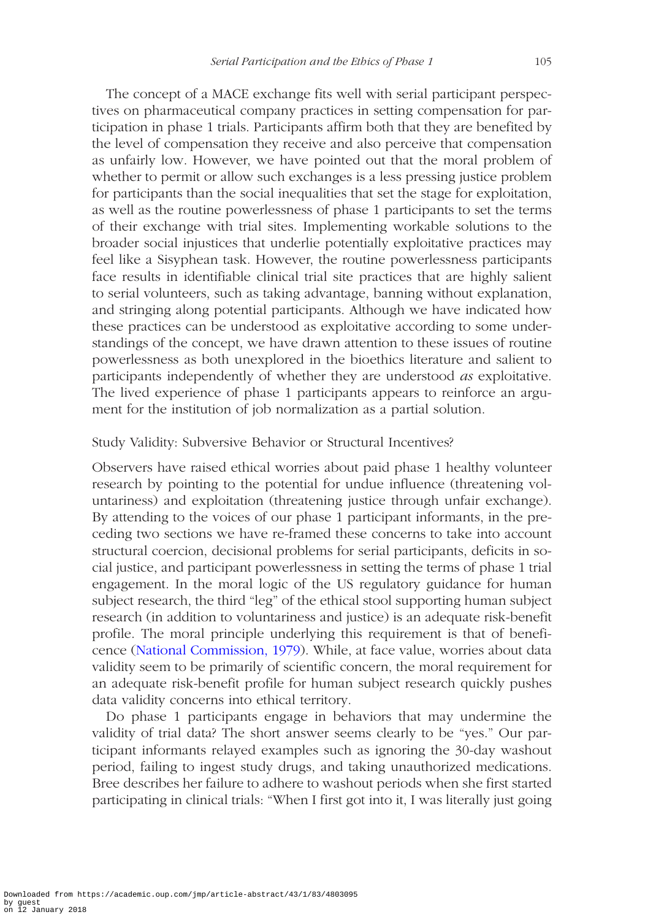The concept of a MACE exchange fits well with serial participant perspectives on pharmaceutical company practices in setting compensation for participation in phase 1 trials. Participants affirm both that they are benefited by the level of compensation they receive and also perceive that compensation as unfairly low. However, we have pointed out that the moral problem of whether to permit or allow such exchanges is a less pressing justice problem for participants than the social inequalities that set the stage for exploitation, as well as the routine powerlessness of phase 1 participants to set the terms of their exchange with trial sites. Implementing workable solutions to the broader social injustices that underlie potentially exploitative practices may feel like a Sisyphean task. However, the routine powerlessness participants face results in identifiable clinical trial site practices that are highly salient to serial volunteers, such as taking advantage, banning without explanation, and stringing along potential participants. Although we have indicated how these practices can be understood as exploitative according to some understandings of the concept, we have drawn attention to these issues of routine powerlessness as both unexplored in the bioethics literature and salient to participants independently of whether they are understood *as* exploitative. The lived experience of phase 1 participants appears to reinforce an argument for the institution of job normalization as a partial solution.

## Study Validity: Subversive Behavior or Structural Incentives?

Observers have raised ethical worries about paid phase 1 healthy volunteer research by pointing to the potential for undue influence (threatening voluntariness) and exploitation (threatening justice through unfair exchange). By attending to the voices of our phase 1 participant informants, in the preceding two sections we have re-framed these concerns to take into account structural coercion, decisional problems for serial participants, deficits in social justice, and participant powerlessness in setting the terms of phase 1 trial engagement. In the moral logic of the US regulatory guidance for human subject research, the third "leg" of the ethical stool supporting human subject research (in addition to voluntariness and justice) is an adequate risk-benefit profile. The moral principle underlying this requirement is that of beneficence [\(National Commission, 1979](#page-30-0)). While, at face value, worries about data validity seem to be primarily of scientific concern, the moral requirement for an adequate risk-benefit profile for human subject research quickly pushes data validity concerns into ethical territory.

Do phase 1 participants engage in behaviors that may undermine the validity of trial data? The short answer seems clearly to be "yes." Our participant informants relayed examples such as ignoring the 30-day washout period, failing to ingest study drugs, and taking unauthorized medications. Bree describes her failure to adhere to washout periods when she first started participating in clinical trials: "When I first got into it, I was literally just going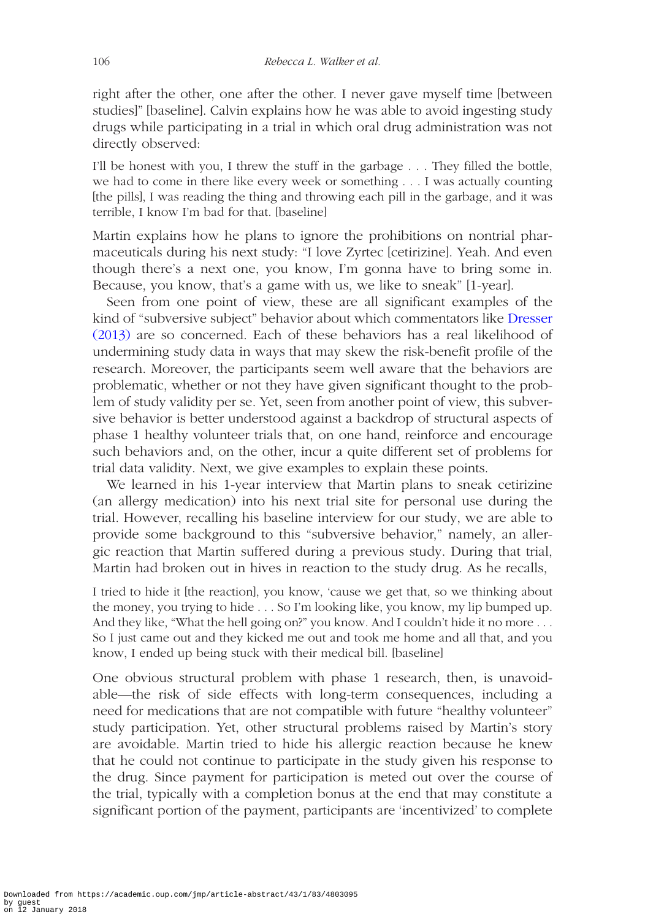right after the other, one after the other. I never gave myself time [between studies]" [baseline]. Calvin explains how he was able to avoid ingesting study drugs while participating in a trial in which oral drug administration was not directly observed:

I'll be honest with you, I threw the stuff in the garbage . . . They filled the bottle, we had to come in there like every week or something . . . I was actually counting [the pills], I was reading the thing and throwing each pill in the garbage, and it was terrible, I know I'm bad for that. [baseline]

Martin explains how he plans to ignore the prohibitions on nontrial pharmaceuticals during his next study: "I love Zyrtec [cetirizine]. Yeah. And even though there's a next one, you know, I'm gonna have to bring some in. Because, you know, that's a game with us, we like to sneak" [1-year].

Seen from one point of view, these are all significant examples of the kind of "subversive subject" behavior about which commentators like [Dresser](#page-29-8)  [\(2013\)](#page-29-8) are so concerned. Each of these behaviors has a real likelihood of undermining study data in ways that may skew the risk-benefit profile of the research. Moreover, the participants seem well aware that the behaviors are problematic, whether or not they have given significant thought to the problem of study validity per se. Yet, seen from another point of view, this subversive behavior is better understood against a backdrop of structural aspects of phase 1 healthy volunteer trials that, on one hand, reinforce and encourage such behaviors and, on the other, incur a quite different set of problems for trial data validity. Next, we give examples to explain these points.

We learned in his 1-year interview that Martin plans to sneak cetirizine (an allergy medication) into his next trial site for personal use during the trial. However, recalling his baseline interview for our study, we are able to provide some background to this "subversive behavior," namely, an allergic reaction that Martin suffered during a previous study. During that trial, Martin had broken out in hives in reaction to the study drug. As he recalls,

I tried to hide it [the reaction], you know, 'cause we get that, so we thinking about the money, you trying to hide . . . So I'm looking like, you know, my lip bumped up. And they like, "What the hell going on?" you know. And I couldn't hide it no more . . . So I just came out and they kicked me out and took me home and all that, and you know, I ended up being stuck with their medical bill. [baseline]

One obvious structural problem with phase 1 research, then, is unavoidable—the risk of side effects with long-term consequences, including a need for medications that are not compatible with future "healthy volunteer" study participation. Yet, other structural problems raised by Martin's story are avoidable. Martin tried to hide his allergic reaction because he knew that he could not continue to participate in the study given his response to the drug. Since payment for participation is meted out over the course of the trial, typically with a completion bonus at the end that may constitute a significant portion of the payment, participants are 'incentivized' to complete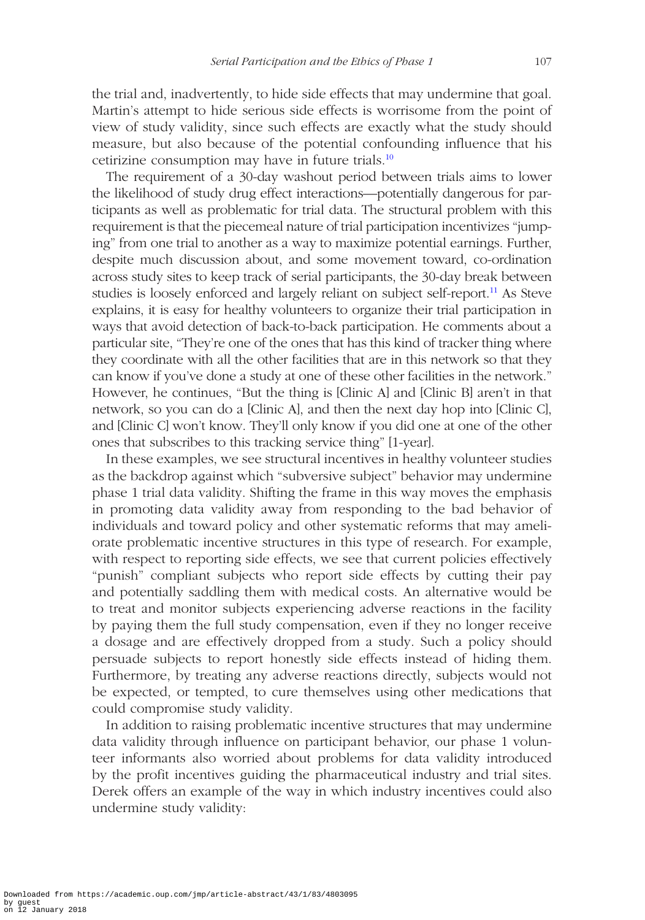the trial and, inadvertently, to hide side effects that may undermine that goal. Martin's attempt to hide serious side effects is worrisome from the point of view of study validity, since such effects are exactly what the study should measure, but also because of the potential confounding influence that his cetirizine consumption may have in future trials.[10](#page-28-7)

The requirement of a 30-day washout period between trials aims to lower the likelihood of study drug effect interactions—potentially dangerous for participants as well as problematic for trial data. The structural problem with this requirement is that the piecemeal nature of trial participation incentivizes "jumping" from one trial to another as a way to maximize potential earnings. Further, despite much discussion about, and some movement toward, co-ordination across study sites to keep track of serial participants, the 30-day break between studies is loosely enforced and largely reliant on subject self-report.<sup>11</sup> As Steve explains, it is easy for healthy volunteers to organize their trial participation in ways that avoid detection of back-to-back participation. He comments about a particular site, "They're one of the ones that has this kind of tracker thing where they coordinate with all the other facilities that are in this network so that they can know if you've done a study at one of these other facilities in the network." However, he continues, "But the thing is [Clinic A] and [Clinic B] aren't in that network, so you can do a [Clinic A], and then the next day hop into [Clinic C], and [Clinic C] won't know. They'll only know if you did one at one of the other ones that subscribes to this tracking service thing" [1-year].

In these examples, we see structural incentives in healthy volunteer studies as the backdrop against which "subversive subject" behavior may undermine phase 1 trial data validity. Shifting the frame in this way moves the emphasis in promoting data validity away from responding to the bad behavior of individuals and toward policy and other systematic reforms that may ameliorate problematic incentive structures in this type of research. For example, with respect to reporting side effects, we see that current policies effectively "punish" compliant subjects who report side effects by cutting their pay and potentially saddling them with medical costs. An alternative would be to treat and monitor subjects experiencing adverse reactions in the facility by paying them the full study compensation, even if they no longer receive a dosage and are effectively dropped from a study. Such a policy should persuade subjects to report honestly side effects instead of hiding them. Furthermore, by treating any adverse reactions directly, subjects would not be expected, or tempted, to cure themselves using other medications that could compromise study validity.

In addition to raising problematic incentive structures that may undermine data validity through influence on participant behavior, our phase 1 volunteer informants also worried about problems for data validity introduced by the profit incentives guiding the pharmaceutical industry and trial sites. Derek offers an example of the way in which industry incentives could also undermine study validity: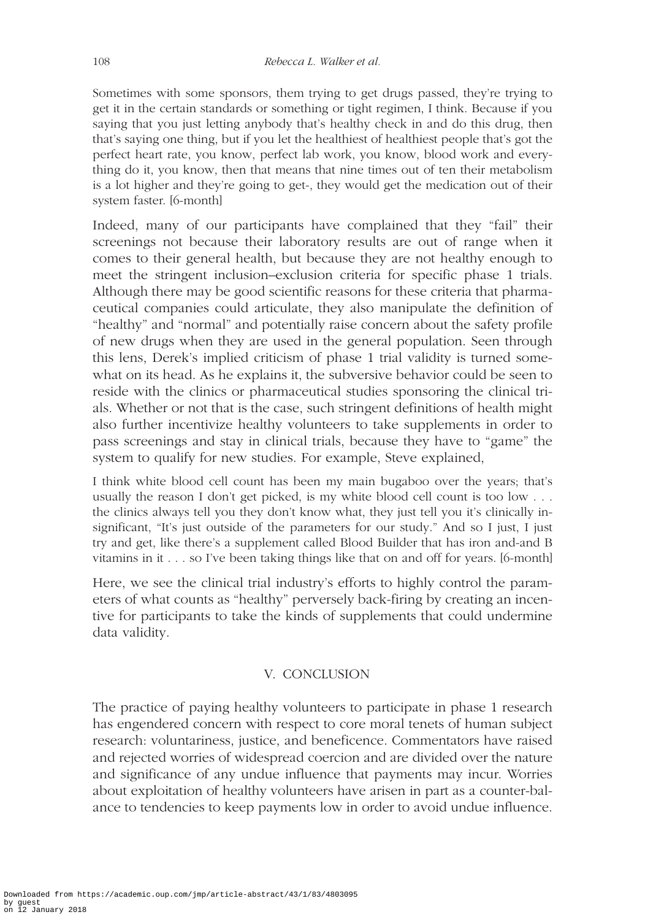Sometimes with some sponsors, them trying to get drugs passed, they're trying to get it in the certain standards or something or tight regimen, I think. Because if you saying that you just letting anybody that's healthy check in and do this drug, then that's saying one thing, but if you let the healthiest of healthiest people that's got the perfect heart rate, you know, perfect lab work, you know, blood work and everything do it, you know, then that means that nine times out of ten their metabolism is a lot higher and they're going to get-, they would get the medication out of their system faster. [6-month]

Indeed, many of our participants have complained that they "fail" their screenings not because their laboratory results are out of range when it comes to their general health, but because they are not healthy enough to meet the stringent inclusion–exclusion criteria for specific phase 1 trials. Although there may be good scientific reasons for these criteria that pharmaceutical companies could articulate, they also manipulate the definition of "healthy" and "normal" and potentially raise concern about the safety profile of new drugs when they are used in the general population. Seen through this lens, Derek's implied criticism of phase 1 trial validity is turned somewhat on its head. As he explains it, the subversive behavior could be seen to reside with the clinics or pharmaceutical studies sponsoring the clinical trials. Whether or not that is the case, such stringent definitions of health might also further incentivize healthy volunteers to take supplements in order to pass screenings and stay in clinical trials, because they have to "game" the system to qualify for new studies. For example, Steve explained,

I think white blood cell count has been my main bugaboo over the years; that's usually the reason I don't get picked, is my white blood cell count is too low . . . the clinics always tell you they don't know what, they just tell you it's clinically insignificant, "It's just outside of the parameters for our study." And so I just, I just try and get, like there's a supplement called Blood Builder that has iron and-and B vitamins in it . . . so I've been taking things like that on and off for years. [6-month]

Here, we see the clinical trial industry's efforts to highly control the parameters of what counts as "healthy" perversely back-firing by creating an incentive for participants to take the kinds of supplements that could undermine data validity.

# V. CONCLUSION

The practice of paying healthy volunteers to participate in phase 1 research has engendered concern with respect to core moral tenets of human subject research: voluntariness, justice, and beneficence. Commentators have raised and rejected worries of widespread coercion and are divided over the nature and significance of any undue influence that payments may incur. Worries about exploitation of healthy volunteers have arisen in part as a counter-balance to tendencies to keep payments low in order to avoid undue influence.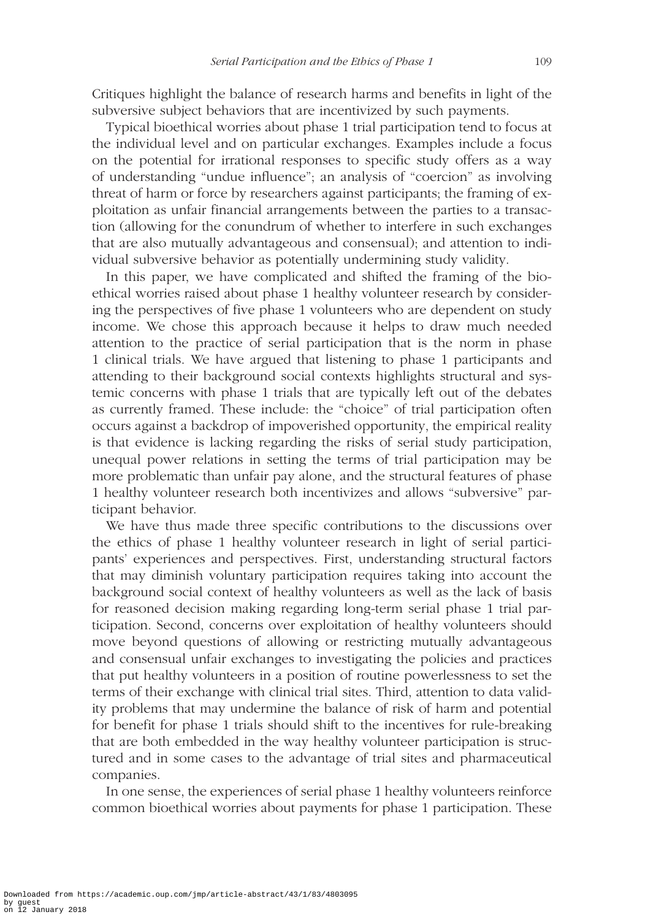Critiques highlight the balance of research harms and benefits in light of the subversive subject behaviors that are incentivized by such payments.

Typical bioethical worries about phase 1 trial participation tend to focus at the individual level and on particular exchanges. Examples include a focus on the potential for irrational responses to specific study offers as a way of understanding "undue influence"; an analysis of "coercion" as involving threat of harm or force by researchers against participants; the framing of exploitation as unfair financial arrangements between the parties to a transaction (allowing for the conundrum of whether to interfere in such exchanges that are also mutually advantageous and consensual); and attention to individual subversive behavior as potentially undermining study validity.

In this paper, we have complicated and shifted the framing of the bioethical worries raised about phase 1 healthy volunteer research by considering the perspectives of five phase 1 volunteers who are dependent on study income. We chose this approach because it helps to draw much needed attention to the practice of serial participation that is the norm in phase 1 clinical trials. We have argued that listening to phase 1 participants and attending to their background social contexts highlights structural and systemic concerns with phase 1 trials that are typically left out of the debates as currently framed. These include: the "choice" of trial participation often occurs against a backdrop of impoverished opportunity, the empirical reality is that evidence is lacking regarding the risks of serial study participation, unequal power relations in setting the terms of trial participation may be more problematic than unfair pay alone, and the structural features of phase 1 healthy volunteer research both incentivizes and allows "subversive" participant behavior.

We have thus made three specific contributions to the discussions over the ethics of phase 1 healthy volunteer research in light of serial participants' experiences and perspectives. First, understanding structural factors that may diminish voluntary participation requires taking into account the background social context of healthy volunteers as well as the lack of basis for reasoned decision making regarding long-term serial phase 1 trial participation. Second, concerns over exploitation of healthy volunteers should move beyond questions of allowing or restricting mutually advantageous and consensual unfair exchanges to investigating the policies and practices that put healthy volunteers in a position of routine powerlessness to set the terms of their exchange with clinical trial sites. Third, attention to data validity problems that may undermine the balance of risk of harm and potential for benefit for phase 1 trials should shift to the incentives for rule-breaking that are both embedded in the way healthy volunteer participation is structured and in some cases to the advantage of trial sites and pharmaceutical companies.

In one sense, the experiences of serial phase 1 healthy volunteers reinforce common bioethical worries about payments for phase 1 participation. These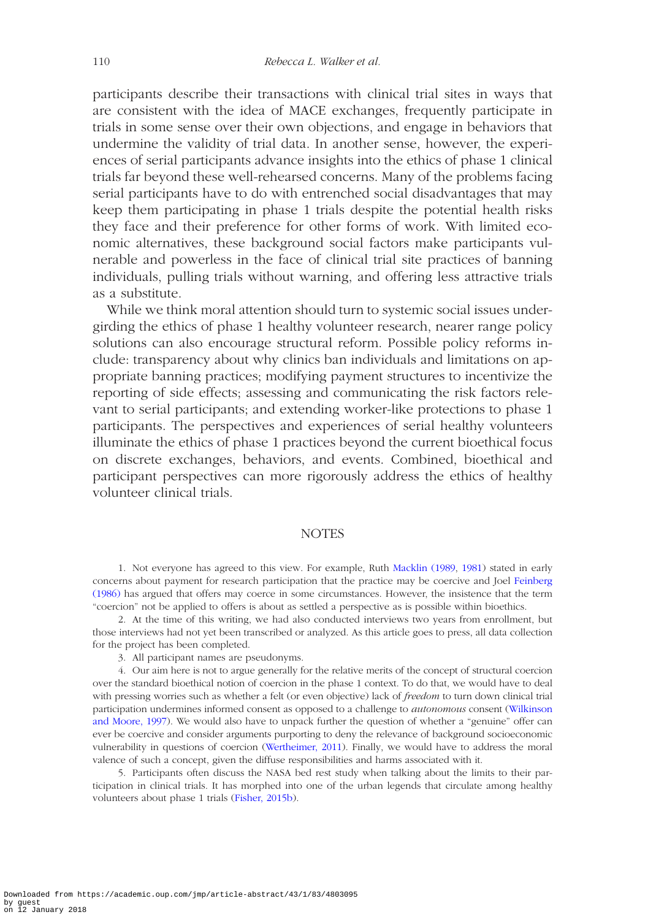participants describe their transactions with clinical trial sites in ways that are consistent with the idea of MACE exchanges, frequently participate in trials in some sense over their own objections, and engage in behaviors that undermine the validity of trial data. In another sense, however, the experiences of serial participants advance insights into the ethics of phase 1 clinical trials far beyond these well-rehearsed concerns. Many of the problems facing serial participants have to do with entrenched social disadvantages that may keep them participating in phase 1 trials despite the potential health risks they face and their preference for other forms of work. With limited economic alternatives, these background social factors make participants vulnerable and powerless in the face of clinical trial site practices of banning individuals, pulling trials without warning, and offering less attractive trials as a substitute.

While we think moral attention should turn to systemic social issues undergirding the ethics of phase 1 healthy volunteer research, nearer range policy solutions can also encourage structural reform. Possible policy reforms include: transparency about why clinics ban individuals and limitations on appropriate banning practices; modifying payment structures to incentivize the reporting of side effects; assessing and communicating the risk factors relevant to serial participants; and extending worker-like protections to phase 1 participants. The perspectives and experiences of serial healthy volunteers illuminate the ethics of phase 1 practices beyond the current bioethical focus on discrete exchanges, behaviors, and events. Combined, bioethical and participant perspectives can more rigorously address the ethics of healthy volunteer clinical trials.

#### **NOTES**

<span id="page-27-0"></span>1. Not everyone has agreed to this view. For example, Ruth [Macklin \(1989](#page-30-10), [1981\)](#page-30-9) stated in early concerns about payment for research participation that the practice may be coercive and Joel [Feinberg](#page-29-18)  [\(1986\)](#page-29-18) has argued that offers may coerce in some circumstances. However, the insistence that the term "coercion" not be applied to offers is about as settled a perspective as is possible within bioethics.

<span id="page-27-1"></span>2. At the time of this writing, we had also conducted interviews two years from enrollment, but those interviews had not yet been transcribed or analyzed. As this article goes to press, all data collection for the project has been completed.

<span id="page-27-3"></span><span id="page-27-2"></span>3. All participant names are pseudonyms.

4. Our aim here is not to argue generally for the relative merits of the concept of structural coercion over the standard bioethical notion of coercion in the phase 1 context. To do that, we would have to deal with pressing worries such as whether a felt (or even objective) lack of *freedom* to turn down clinical trial participation undermines informed consent as opposed to a challenge to *autonomous* consent [\(Wilkinson](#page-31-5)  [and Moore, 1997\)](#page-31-5). We would also have to unpack further the question of whether a "genuine" offer can ever be coercive and consider arguments purporting to deny the relevance of background socioeconomic vulnerability in questions of coercion [\(Wertheimer, 2011\)](#page-31-6). Finally, we would have to address the moral valence of such a concept, given the diffuse responsibilities and harms associated with it.

<span id="page-27-4"></span>5. Participants often discuss the NASA bed rest study when talking about the limits to their participation in clinical trials. It has morphed into one of the urban legends that circulate among healthy volunteers about phase 1 trials ([Fisher, 2015b](#page-29-3)).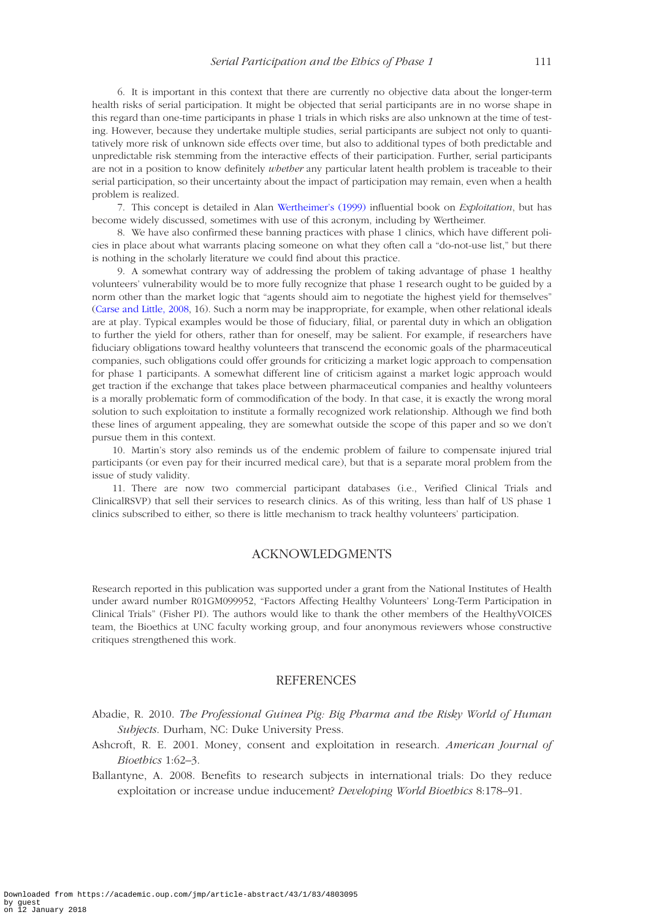<span id="page-28-2"></span>6. It is important in this context that there are currently no objective data about the longer-term health risks of serial participation. It might be objected that serial participants are in no worse shape in this regard than one-time participants in phase 1 trials in which risks are also unknown at the time of testing. However, because they undertake multiple studies, serial participants are subject not only to quantitatively more risk of unknown side effects over time, but also to additional types of both predictable and unpredictable risk stemming from the interactive effects of their participation. Further, serial participants are not in a position to know definitely *whether* any particular latent health problem is traceable to their serial participation, so their uncertainty about the impact of participation may remain, even when a health problem is realized.

<span id="page-28-4"></span>7. This concept is detailed in Alan [Wertheimer's \(1999\)](#page-31-18) influential book on *Exploitation*, but has become widely discussed, sometimes with use of this acronym, including by Wertheimer.

<span id="page-28-5"></span>8. We have also confirmed these banning practices with phase 1 clinics, which have different policies in place about what warrants placing someone on what they often call a "do-not-use list," but there is nothing in the scholarly literature we could find about this practice.

<span id="page-28-6"></span>9. A somewhat contrary way of addressing the problem of taking advantage of phase 1 healthy volunteers' vulnerability would be to more fully recognize that phase 1 research ought to be guided by a norm other than the market logic that "agents should aim to negotiate the highest yield for themselves" ([Carse and Little, 2008,](#page-29-16) 16). Such a norm may be inappropriate, for example, when other relational ideals are at play. Typical examples would be those of fiduciary, filial, or parental duty in which an obligation to further the yield for others, rather than for oneself, may be salient. For example, if researchers have fiduciary obligations toward healthy volunteers that transcend the economic goals of the pharmaceutical companies, such obligations could offer grounds for criticizing a market logic approach to compensation for phase 1 participants. A somewhat different line of criticism against a market logic approach would get traction if the exchange that takes place between pharmaceutical companies and healthy volunteers is a morally problematic form of commodification of the body. In that case, it is exactly the wrong moral solution to such exploitation to institute a formally recognized work relationship. Although we find both these lines of argument appealing, they are somewhat outside the scope of this paper and so we don't pursue them in this context.

<span id="page-28-7"></span>10. Martin's story also reminds us of the endemic problem of failure to compensate injured trial participants (or even pay for their incurred medical care), but that is a separate moral problem from the issue of study validity.

<span id="page-28-8"></span>11. There are now two commercial participant databases (i.e., Verified Clinical Trials and ClinicalRSVP) that sell their services to research clinics. As of this writing, less than half of US phase 1 clinics subscribed to either, so there is little mechanism to track healthy volunteers' participation.

#### ACKNOWLEDGMENTS

Research reported in this publication was supported under a grant from the National Institutes of Health under award number R01GM099952, "Factors Affecting Healthy Volunteers' Long-Term Participation in Clinical Trials" (Fisher PI). The authors would like to thank the other members of the HealthyVOICES team, the Bioethics at UNC faculty working group, and four anonymous reviewers whose constructive critiques strengthened this work.

#### **REFERENCES**

- <span id="page-28-0"></span>Abadie, R. 2010. *The Professional Guinea Pig: Big Pharma and the Risky World of Human Subjects*. Durham, NC: Duke University Press.
- <span id="page-28-3"></span>Ashcroft, R. E. 2001. Money, consent and exploitation in research. *American Journal of Bioethics* 1:62–3.
- <span id="page-28-1"></span>Ballantyne, A. 2008. Benefits to research subjects in international trials: Do they reduce exploitation or increase undue inducement? *Developing World Bioethics* 8:178–91.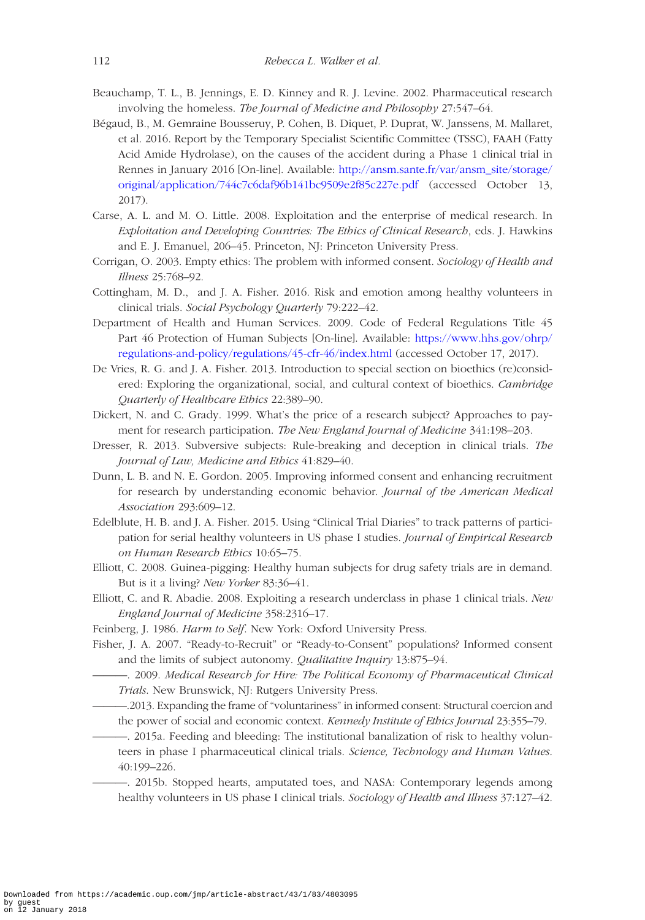- <span id="page-29-11"></span>Beauchamp, T. L., B. Jennings, E. D. Kinney and R. J. Levine. 2002. Pharmaceutical research involving the homeless. *The Journal of Medicine and Philosophy* 27:547–64.
- <span id="page-29-0"></span>Bégaud, B., M. Gemraine Bousseruy, P. Cohen, B. Diquet, P. Duprat, W. Janssens, M. Mallaret, et al. 2016. Report by the Temporary Specialist Scientific Committee (TSSC), FAAH (Fatty Acid Amide Hydrolase), on the causes of the accident during a Phase 1 clinical trial in Rennes in January 2016 [On-line]. Available: [http://ansm.sante.fr/var/ansm\\_site/storage/](http://ansm.sante.fr/var/ansm_site/storage/original/application/744c7c6daf96b141bc9509e2f85c227e.pdf) [original/application/744c7c6daf96b141bc9509e2f85c227e.pdf](http://ansm.sante.fr/var/ansm_site/storage/original/application/744c7c6daf96b141bc9509e2f85c227e.pdf) (accessed October 13, 2017).
- <span id="page-29-16"></span>Carse, A. L. and M. O. Little. 2008. Exploitation and the enterprise of medical research. In *Exploitation and Developing Countries: The Ethics of Clinical Research*, eds. J. Hawkins and E. J. Emanuel, 206–45. Princeton, NJ: Princeton University Press.
- <span id="page-29-13"></span>Corrigan, O. 2003. Empty ethics: The problem with informed consent. *Sociology of Health and Illness* 25:768–92.
- <span id="page-29-12"></span>Cottingham, M. D., and J. A. Fisher. 2016. Risk and emotion among healthy volunteers in clinical trials. *Social Psychology Quarterly* 79:222–42.
- <span id="page-29-5"></span>Department of Health and Human Services. 2009. Code of Federal Regulations Title 45 Part 46 Protection of Human Subjects [On-line]. Available: [https://www.hhs.gov/ohrp/](https://www.hhs.gov/ohrp/regulations-and-policy/regulations/45-cfr-46/index.html) [regulations-and-policy/regulations/45-cfr-46/index.html](https://www.hhs.gov/ohrp/regulations-and-policy/regulations/45-cfr-46/index.html) (accessed October 17, 2017).
- <span id="page-29-9"></span>De Vries, R. G. and J. A. Fisher. 2013. Introduction to special section on bioethics (re)considered: Exploring the organizational, social, and cultural context of bioethics. *Cambridge Quarterly of Healthcare Ethics* 22:389–90.
- <span id="page-29-6"></span>Dickert, N. and C. Grady. 1999. What's the price of a research subject? Approaches to payment for research participation. *The New England Journal of Medicine* 341:198–203.
- <span id="page-29-8"></span>Dresser, R. 2013. Subversive subjects: Rule-breaking and deception in clinical trials. *The Journal of Law, Medicine and Ethics* 41:829–40.
- <span id="page-29-7"></span>Dunn, L. B. and N. E. Gordon. 2005. Improving informed consent and enhancing recruitment for research by understanding economic behavior. *Journal of the American Medical Association* 293:609–12.
- <span id="page-29-2"></span>Edelblute, H. B. and J. A. Fisher. 2015. Using "Clinical Trial Diaries" to track patterns of participation for serial healthy volunteers in US phase I studies. *Journal of Empirical Research on Human Research Ethics* 10:65–75.
- <span id="page-29-4"></span>Elliott, C. 2008. Guinea-pigging: Healthy human subjects for drug safety trials are in demand. But is it a living? *New Yorker* 83:36–41.
- <span id="page-29-17"></span>Elliott, C. and R. Abadie. 2008. Exploiting a research underclass in phase 1 clinical trials. *New England Journal of Medicine* 358:2316–17.
- <span id="page-29-18"></span>Feinberg, J. 1986. *Harm to Self*. New York: Oxford University Press.
- <span id="page-29-15"></span><span id="page-29-14"></span><span id="page-29-10"></span><span id="page-29-3"></span><span id="page-29-1"></span>Fisher, J. A. 2007. "Ready-to-Recruit" or "Ready-to-Consent" populations? Informed consent and the limits of subject autonomy. *Qualitative Inquiry* 13:875–94.
	- ———. 2009. *Medical Research for Hire: The Political Economy of Pharmaceutical Clinical Trials*. New Brunswick, NJ: Rutgers University Press.
		- ———.2013. Expanding the frame of "voluntariness" in informed consent: Structural coercion and the power of social and economic context. *Kennedy Institute of Ethics Journal* 23:355–79.
		- ———. 2015a. Feeding and bleeding: The institutional banalization of risk to healthy volunteers in phase I pharmaceutical clinical trials. *Science, Technology and Human Values*. 40:199–226.
			- ———. 2015b. Stopped hearts, amputated toes, and NASA: Contemporary legends among healthy volunteers in US phase I clinical trials. *Sociology of Health and Illness* 37:127–42.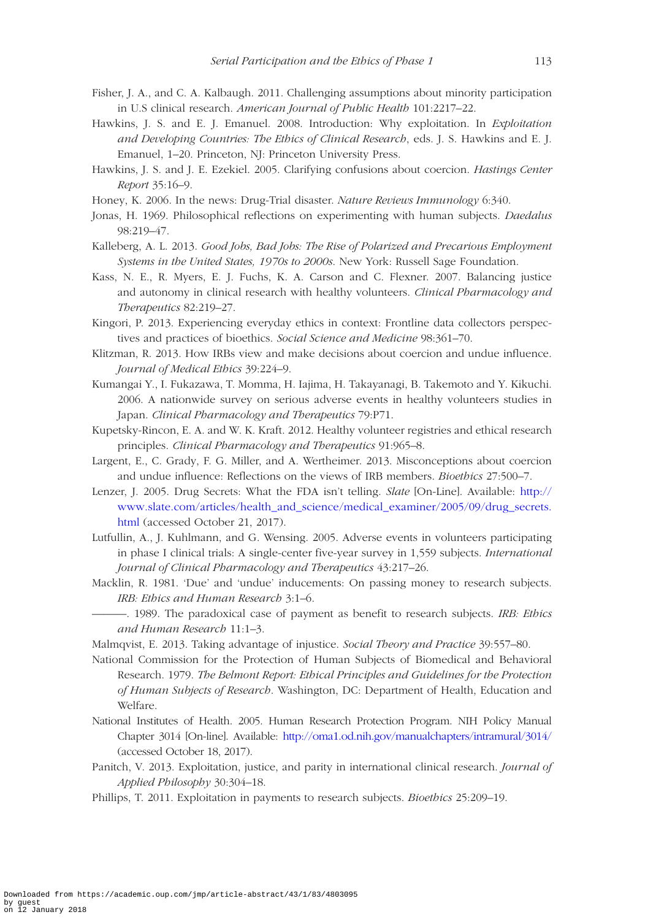- <span id="page-30-15"></span>Fisher, J. A., and C. A. Kalbaugh. 2011. Challenging assumptions about minority participation in U.S clinical research. *American Journal of Public Health* 101:2217–22.
- <span id="page-30-20"></span>Hawkins, J. S. and E. J. Emanuel. 2008. Introduction: Why exploitation. In *Exploitation and Developing Countries: The Ethics of Clinical Research*, eds. J. S. Hawkins and E. J. Emanuel, 1–20. Princeton, NJ: Princeton University Press.
- <span id="page-30-11"></span>Hawkins, J. S. and J. E. Ezekiel. 2005. Clarifying confusions about coercion. *Hastings Center Report* 35:16–9.
- <span id="page-30-2"></span>Honey, K. 2006. In the news: Drug-Trial disaster. *Nature Reviews Immunology* 6:340.
- <span id="page-30-8"></span>Jonas, H. 1969. Philosophical reflections on experimenting with human subjects. *Daedalus* 98:219–47.
- <span id="page-30-16"></span>Kalleberg, A. L. 2013. *Good Jobs, Bad Jobs: The Rise of Polarized and Precarious Employment Systems in the United States, 1970s to 2000s*. New York: Russell Sage Foundation.
- <span id="page-30-5"></span>Kass, N. E., R. Myers, E. J. Fuchs, K. A. Carson and C. Flexner. 2007. Balancing justice and autonomy in clinical research with healthy volunteers. *Clinical Pharmacology and Therapeutics* 82:219–27.
- <span id="page-30-19"></span>Kingori, P. 2013. Experiencing everyday ethics in context: Frontline data collectors perspectives and practices of bioethics. *Social Science and Medicine* 98:361–70.
- <span id="page-30-12"></span>Klitzman, R. 2013. How IRBs view and make decisions about coercion and undue influence. *Journal of Medical Ethics* 39:224–9.
- <span id="page-30-4"></span>Kumangai Y., I. Fukazawa, T. Momma, H. Iajima, H. Takayanagi, B. Takemoto and Y. Kikuchi. 2006. A nationwide survey on serious adverse events in healthy volunteers studies in Japan. *Clinical Pharmacology and Therapeutics* 79:P71.
- <span id="page-30-6"></span>Kupetsky-Rincon, E. A. and W. K. Kraft. 2012. Healthy volunteer registries and ethical research principles. *Clinical Pharmacology and Therapeutics* 91:965–8.
- <span id="page-30-13"></span>Largent, E., C. Grady, F. G. Miller, and A. Wertheimer. 2013. Misconceptions about coercion and undue influence: Reflections on the views of IRB members. *Bioethics* 27:500–7.
- <span id="page-30-1"></span>Lenzer, J. 2005. Drug Secrets: What the FDA isn't telling. *Slate* [On-Line]. Available: [http://](http://www.slate.com/articles/health_and_science/medical_examiner/2005/09/drug_secrets.html) [www.slate.com/articles/health\\_and\\_science/medical\\_examiner/2005/09/drug\\_secrets.](http://www.slate.com/articles/health_and_science/medical_examiner/2005/09/drug_secrets.html) [html](http://www.slate.com/articles/health_and_science/medical_examiner/2005/09/drug_secrets.html) (accessed October 21, 2017).
- <span id="page-30-3"></span>Lutfullin, A., J. Kuhlmann, and G. Wensing. 2005. Adverse events in volunteers participating in phase I clinical trials: A single-center five-year survey in 1,559 subjects. *International Journal of Clinical Pharmacology and Therapeutics* 43:217–26.
- <span id="page-30-9"></span>Macklin, R. 1981. 'Due' and 'undue' inducements: On passing money to research subjects. *IRB: Ethics and Human Research* 3:1–6.
- <span id="page-30-10"></span>———. 1989. The paradoxical case of payment as benefit to research subjects. *IRB: Ethics and Human Research* 11:1–3.
- <span id="page-30-17"></span>Malmqvist, E. 2013. Taking advantage of injustice. *Social Theory and Practice* 39:557–80.
- <span id="page-30-0"></span>National Commission for the Protection of Human Subjects of Biomedical and Behavioral Research. 1979. *The Belmont Report: Ethical Principles and Guidelines for the Protection of Human Subjects of Research*. Washington, DC: Department of Health, Education and Welfare.
- <span id="page-30-7"></span>National Institutes of Health. 2005. Human Research Protection Program. NIH Policy Manual Chapter 3014 [On-line]. Available: <http://oma1.od.nih.gov/manualchapters/intramural/3014/> (accessed October 18, 2017).
- <span id="page-30-18"></span>Panitch, V. 2013. Exploitation, justice, and parity in international clinical research. *Journal of Applied Philosophy* 30:304–18.
- <span id="page-30-14"></span>Phillips, T. 2011. Exploitation in payments to research subjects. *Bioethics* 25:209–19.